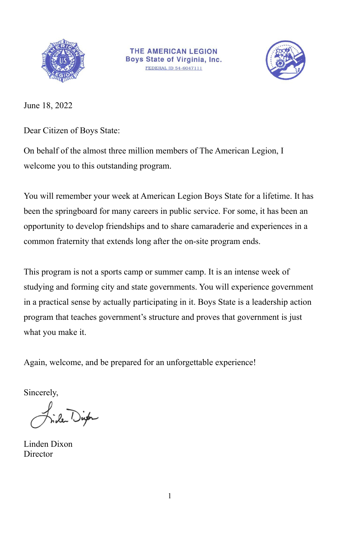



June 18, 2022

Dear Citizen of Boys State:

On behalf of the almost three million members of The American Legion, I welcome you to this outstanding program.

You will remember your week at American Legion Boys State for a lifetime. It has been the springboard for many careers in public service. For some, it has been an opportunity to develop friendships and to share camaraderie and experiences in a common fraternity that extends long after the on-site program ends.

This program is not a sports camp or summer camp. It is an intense week of studying and forming city and state governments. You will experience government in a practical sense by actually participating in it. Boys State is a leadership action program that teaches government's structure and proves that government is just what you make it.

Again, welcome, and be prepared for an unforgettable experience!

Sincerely,

le Dip

Linden Dixon Director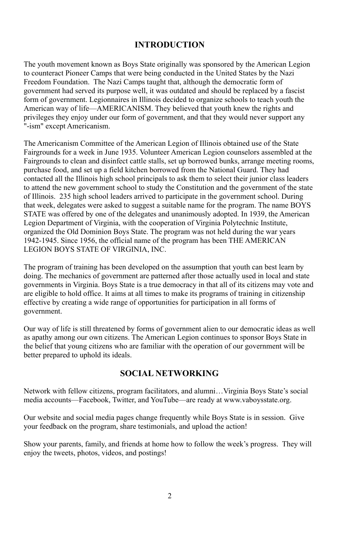#### **INTRODUCTION**

The youth movement known as Boys State originally was sponsored by the American Legion to counteract Pioneer Camps that were being conducted in the United States by the Nazi Freedom Foundation. The Nazi Camps taught that, although the democratic form of government had served its purpose well, it was outdated and should be replaced by a fascist form of government. Legionnaires in Illinois decided to organize schools to teach youth the American way of life—AMERICANISM. They believed that youth knew the rights and privileges they enjoy under our form of government, and that they would never support any "-ism" except Americanism.

The Americanism Committee of the American Legion of Illinois obtained use of the State Fairgrounds for a week in June 1935. Volunteer American Legion counselors assembled at the Fairgrounds to clean and disinfect cattle stalls, set up borrowed bunks, arrange meeting rooms, purchase food, and set up a field kitchen borrowed from the National Guard. They had contacted all the Illinois high school principals to ask them to select their junior class leaders to attend the new government school to study the Constitution and the government of the state of Illinois. 235 high school leaders arrived to participate in the government school. During that week, delegates were asked to suggest a suitable name for the program. The name BOYS STATE was offered by one of the delegates and unanimously adopted. In 1939, the American Legion Department of Virginia, with the cooperation of Virginia Polytechnic Institute, organized the Old Dominion Boys State. The program was not held during the war years 1942-1945. Since 1956, the official name of the program has been THE AMERICAN LEGION BOYS STATE OF VIRGINIA, INC.

The program of training has been developed on the assumption that youth can best learn by doing. The mechanics of government are patterned after those actually used in local and state governments in Virginia. Boys State is a true democracy in that all of its citizens may vote and are eligible to hold office. It aims at all times to make its programs of training in citizenship effective by creating a wide range of opportunities for participation in all forms of government.

Our way of life is still threatened by forms of government alien to our democratic ideas as well as apathy among our own citizens. The American Legion continues to sponsor Boys State in the belief that young citizens who are familiar with the operation of our government will be better prepared to uphold its ideals.

## **SOCIAL NETWORKING**

Network with fellow citizens, program facilitators, and alumni…Virginia Boys State's social media accounts—Facebook, Twitter, and YouTube—are ready at www.vaboysstate.org.

Our website and social media pages change frequently while Boys State is in session. Give your feedback on the program, share testimonials, and upload the action!

Show your parents, family, and friends at home how to follow the week's progress. They will enjoy the tweets, photos, videos, and postings!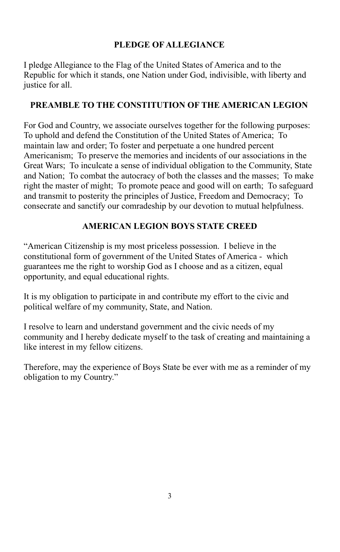## **PLEDGE OF ALLEGIANCE**

I pledge Allegiance to the Flag of the United States of America and to the Republic for which it stands, one Nation under God, indivisible, with liberty and justice for all.

## **PREAMBLE TO THE CONSTITUTION OF THE AMERICAN LEGION**

For God and Country, we associate ourselves together for the following purposes: To uphold and defend the Constitution of the United States of America; To maintain law and order; To foster and perpetuate a one hundred percent Americanism; To preserve the memories and incidents of our associations in the Great Wars; To inculcate a sense of individual obligation to the Community, State and Nation; To combat the autocracy of both the classes and the masses; To make right the master of might; To promote peace and good will on earth; To safeguard and transmit to posterity the principles of Justice, Freedom and Democracy; To consecrate and sanctify our comradeship by our devotion to mutual helpfulness.

## **AMERICAN LEGION BOYS STATE CREED**

"American Citizenship is my most priceless possession. I believe in the constitutional form of government of the United States of America - which guarantees me the right to worship God as I choose and as a citizen, equal opportunity, and equal educational rights.

It is my obligation to participate in and contribute my effort to the civic and political welfare of my community, State, and Nation.

I resolve to learn and understand government and the civic needs of my community and I hereby dedicate myself to the task of creating and maintaining a like interest in my fellow citizens.

Therefore, may the experience of Boys State be ever with me as a reminder of my obligation to my Country."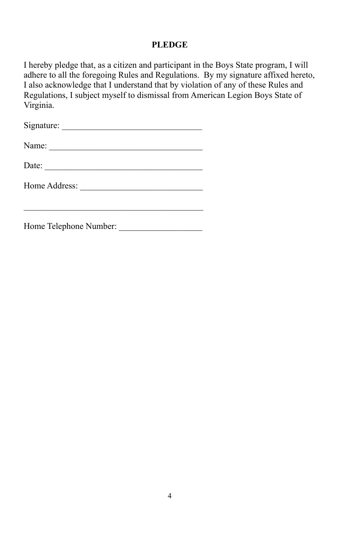## **PLEDGE**

I hereby pledge that, as a citizen and participant in the Boys State program, I will adhere to all the foregoing Rules and Regulations. By my signature affixed hereto, I also acknowledge that I understand that by violation of any of these Rules and Regulations, I subject myself to dismissal from American Legion Boys State of Virginia.

Signature: \_\_\_\_\_\_\_\_\_\_\_\_\_\_\_\_\_\_\_\_\_\_\_\_\_\_\_\_\_\_\_\_

Name: \_\_\_\_\_\_\_\_\_\_\_\_\_\_\_\_\_\_\_\_\_\_\_\_\_\_\_\_\_\_\_\_\_\_\_

Date:

Home Address: \_\_\_\_\_\_\_\_\_\_\_\_\_\_\_\_\_\_\_\_\_\_\_\_\_\_\_\_ \_\_\_\_\_\_\_\_\_\_\_\_\_\_\_\_\_\_\_\_\_\_\_\_\_\_\_\_\_\_\_\_\_\_\_\_\_\_\_\_\_

Home Telephone Number: \_\_\_\_\_\_\_\_\_\_\_\_\_\_\_\_\_\_\_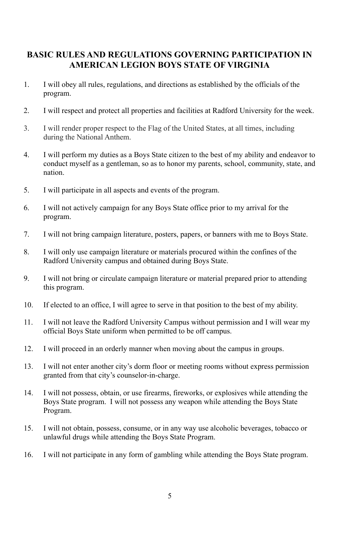## **BASIC RULES AND REGULATIONS GOVERNING PARTICIPATION IN AMERICAN LEGION BOYS STATE OF VIRGINIA**

- 1. I will obey all rules, regulations, and directions as established by the officials of the program.
- 2. I will respect and protect all properties and facilities at Radford University for the week.
- 3. I will render proper respect to the Flag of the United States, at all times, including during the National Anthem.
- 4. I will perform my duties as a Boys State citizen to the best of my ability and endeavor to conduct myself as a gentleman, so as to honor my parents, school, community, state, and nation.
- 5. I will participate in all aspects and events of the program.
- 6. I will not actively campaign for any Boys State office prior to my arrival for the program.
- 7. I will not bring campaign literature, posters, papers, or banners with me to Boys State.
- 8. I will only use campaign literature or materials procured within the confines of the Radford University campus and obtained during Boys State.
- 9. I will not bring or circulate campaign literature or material prepared prior to attending this program.
- 10. If elected to an office, I will agree to serve in that position to the best of my ability.
- 11. I will not leave the Radford University Campus without permission and I will wear my official Boys State uniform when permitted to be off campus.
- 12. I will proceed in an orderly manner when moving about the campus in groups.
- 13. I will not enter another city's dorm floor or meeting rooms without express permission granted from that city's counselor-in-charge.
- 14. I will not possess, obtain, or use firearms, fireworks, or explosives while attending the Boys State program. I will not possess any weapon while attending the Boys State Program.
- 15. I will not obtain, possess, consume, or in any way use alcoholic beverages, tobacco or unlawful drugs while attending the Boys State Program.
- 16. I will not participate in any form of gambling while attending the Boys State program.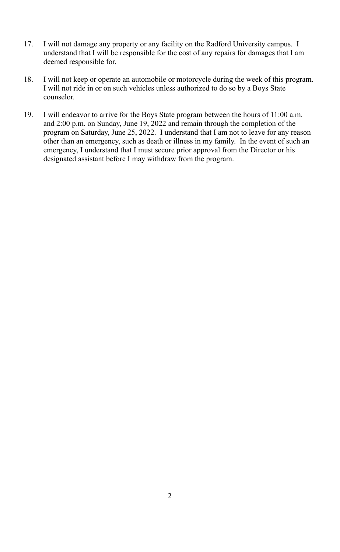- 17. I will not damage any property or any facility on the Radford University campus. I understand that I will be responsible for the cost of any repairs for damages that I am deemed responsible for.
- 18. I will not keep or operate an automobile or motorcycle during the week of this program. I will not ride in or on such vehicles unless authorized to do so by a Boys State counselor.
- 19. I will endeavor to arrive for the Boys State program between the hours of 11:00 a.m. and 2:00 p.m. on Sunday, June 19, 2022 and remain through the completion of the program on Saturday, June 25, 2022. I understand that I am not to leave for any reason other than an emergency, such as death or illness in my family. In the event of such an emergency, I understand that I must secure prior approval from the Director or his designated assistant before I may withdraw from the program.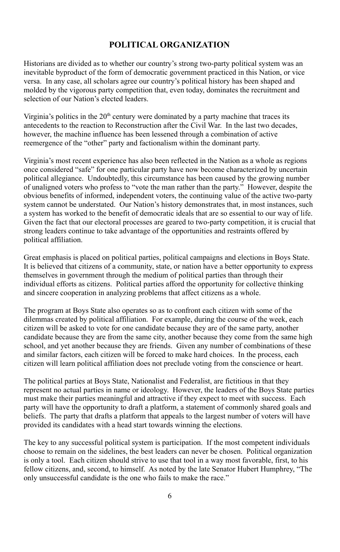## **POLITICAL ORGANIZATION**

Historians are divided as to whether our country's strong two-party political system was an inevitable byproduct of the form of democratic government practiced in this Nation, or vice versa. In any case, all scholars agree our country's political history has been shaped and molded by the vigorous party competition that, even today, dominates the recruitment and selection of our Nation's elected leaders.

Virginia's politics in the 20<sup>th</sup> century were dominated by a party machine that traces its antecedents to the reaction to Reconstruction after the Civil War. In the last two decades, however, the machine influence has been lessened through a combination of active reemergence of the "other" party and factionalism within the dominant party.

Virginia's most recent experience has also been reflected in the Nation as a whole as regions once considered "safe" for one particular party have now become characterized by uncertain political allegiance. Undoubtedly, this circumstance has been caused by the growing number of unaligned voters who profess to "vote the man rather than the party." However, despite the obvious benefits of informed, independent voters, the continuing value of the active two-party system cannot be understated. Our Nation's history demonstrates that, in most instances, such a system has worked to the benefit of democratic ideals that are so essential to our way of life. Given the fact that our electoral processes are geared to two-party competition, it is crucial that strong leaders continue to take advantage of the opportunities and restraints offered by political affiliation.

Great emphasis is placed on political parties, political campaigns and elections in Boys State. It is believed that citizens of a community, state, or nation have a better opportunity to express themselves in government through the medium of political parties than through their individual efforts as citizens. Political parties afford the opportunity for collective thinking and sincere cooperation in analyzing problems that affect citizens as a whole.

The program at Boys State also operates so as to confront each citizen with some of the dilemmas created by political affiliation. For example, during the course of the week, each citizen will be asked to vote for one candidate because they are of the same party, another candidate because they are from the same city, another because they come from the same high school, and yet another because they are friends. Given any number of combinations of these and similar factors, each citizen will be forced to make hard choices. In the process, each citizen will learn political affiliation does not preclude voting from the conscience or heart.

The political parties at Boys State, Nationalist and Federalist, are fictitious in that they represent no actual parties in name or ideology. However, the leaders of the Boys State parties must make their parties meaningful and attractive if they expect to meet with success. Each party will have the opportunity to draft a platform, a statement of commonly shared goals and beliefs. The party that drafts a platform that appeals to the largest number of voters will have provided its candidates with a head start towards winning the elections.

The key to any successful political system is participation. If the most competent individuals choose to remain on the sidelines, the best leaders can never be chosen. Political organization is only a tool. Each citizen should strive to use that tool in a way most favorable, first, to his fellow citizens, and, second, to himself. As noted by the late Senator Hubert Humphrey, "The only unsuccessful candidate is the one who fails to make the race."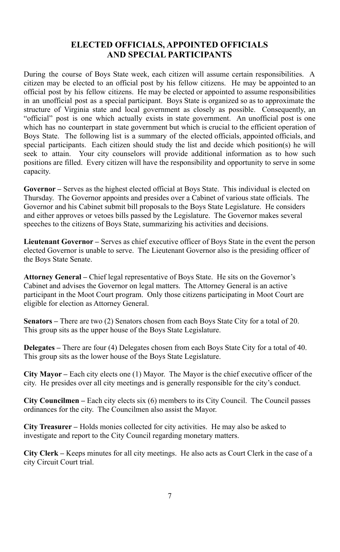#### **ELECTED OFFICIALS, APPOINTED OFFICIALS AND SPECIAL PARTICIPANTS**

During the course of Boys State week, each citizen will assume certain responsibilities. A citizen may be elected to an official post by his fellow citizens. He may be appointed to an official post by his fellow citizens. He may be elected or appointed to assume responsibilities in an unofficial post as a special participant. Boys State is organized so as to approximate the structure of Virginia state and local government as closely as possible. Consequently, an "official" post is one which actually exists in state government. An unofficial post is one which has no counterpart in state government but which is crucial to the efficient operation of Boys State. The following list is a summary of the elected officials, appointed officials, and special participants. Each citizen should study the list and decide which position(s) he will seek to attain. Your city counselors will provide additional information as to how such positions are filled. Every citizen will have the responsibility and opportunity to serve in some capacity.

**Governor –** Serves as the highest elected official at Boys State. This individual is elected on Thursday. The Governor appoints and presides over a Cabinet of various state officials. The Governor and his Cabinet submit bill proposals to the Boys State Legislature. He considers and either approves or vetoes bills passed by the Legislature. The Governor makes several speeches to the citizens of Boys State, summarizing his activities and decisions.

**Lieutenant Governor –** Serves as chief executive officer of Boys State in the event the person elected Governor is unable to serve. The Lieutenant Governor also is the presiding officer of the Boys State Senate.

**Attorney General –** Chief legal representative of Boys State. He sits on the Governor's Cabinet and advises the Governor on legal matters. The Attorney General is an active participant in the Moot Court program. Only those citizens participating in Moot Court are eligible for election as Attorney General.

**Senators –** There are two (2) Senators chosen from each Boys State City for a total of 20. This group sits as the upper house of the Boys State Legislature.

**Delegates –** There are four (4) Delegates chosen from each Boys State City for a total of 40. This group sits as the lower house of the Boys State Legislature.

**City Mayor –** Each city elects one (1) Mayor. The Mayor is the chief executive officer of the city. He presides over all city meetings and is generally responsible for the city's conduct.

**City Councilmen –** Each city elects six (6) members to its City Council. The Council passes ordinances for the city. The Councilmen also assist the Mayor.

**City Treasurer –** Holds monies collected for city activities. He may also be asked to investigate and report to the City Council regarding monetary matters.

**City Clerk –** Keeps minutes for all city meetings. He also acts as Court Clerk in the case of a city Circuit Court trial.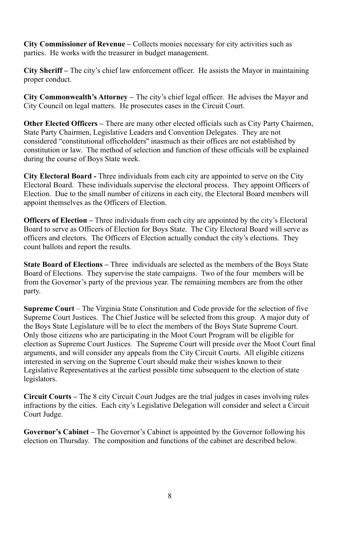**City Commissioner of Revenue –** Collects monies necessary for city activities such as parties. He works with the treasurer in budget management.

**City Sheriff –** The city's chief law enforcement officer. He assists the Mayor in maintaining proper conduct.

**City Commonwealth's Attorney –** The city's chief legal officer. He advises the Mayor and City Council on legal matters. He prosecutes cases in the Circuit Court.

**Other Elected Officers –** There are many other elected officials such as City Party Chairmen, State Party Chairmen, Legislative Leaders and Convention Delegates. They are not considered "constitutional officeholders'' inasmuch as their offices are not established by constitution or law. The method of selection and function of these officials will be explained during the course of Boys State week.

**City Electoral Board -** Three individuals from each city are appointed to serve on the City Electoral Board. These individuals supervise the electoral process. They appoint Officers of Election. Due to the small number of citizens in each city, the Electoral Board members will appoint themselves as the Officers of Election.

**Officers of Election –** Three individuals from each city are appointed by the city's Electoral Board to serve as Officers of Election for Boys State. The City Electoral Board will serve as officers and electors. The Officers of Election actually conduct the city's elections. They count ballots and report the results.

**State Board of Elections –** Three individuals are selected as the members of the Boys State Board of Elections. They supervise the state campaigns. Two of the four members will be from the Governor's party of the previous year. The remaining members are from the other party.

**Supreme Court** – The Virginia State Constitution and Code provide for the selection of five Supreme Court Justices. The Chief Justice will be selected from this group. A major duty of the Boys State Legislature will be to elect the members of the Boys State Supreme Court. Only those citizens who are participating in the Moot Court Program will be eligible for election as Supreme Court Justices. The Supreme Court will preside over the Moot Court final arguments, and will consider any appeals from the City Circuit Courts. All eligible citizens interested in serving on the Supreme Court should make their wishes known to their Legislative Representatives at the earliest possible time subsequent to the election of state legislators.

**Circuit Courts –** The 8 city Circuit Court Judges are the trial judges in cases involving rules infractions by the cities. Each city's Legislative Delegation will consider and select a Circuit Court Judge.

**Governor's Cabinet –** The Governor's Cabinet is appointed by the Governor following his election on Thursday. The composition and functions of the cabinet are described below.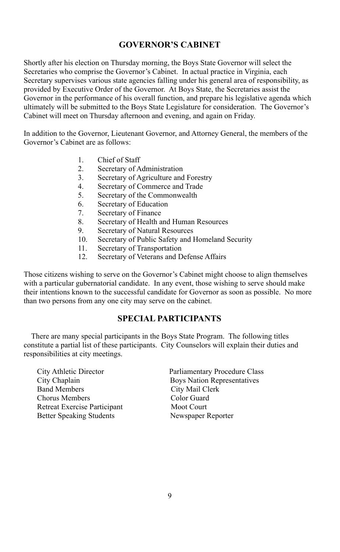## **GOVERNOR'S CABINET**

Shortly after his election on Thursday morning, the Boys State Governor will select the Secretaries who comprise the Governor's Cabinet. In actual practice in Virginia, each Secretary supervises various state agencies falling under his general area of responsibility, as provided by Executive Order of the Governor. At Boys State, the Secretaries assist the Governor in the performance of his overall function, and prepare his legislative agenda which ultimately will be submitted to the Boys State Legislature for consideration. The Governor's Cabinet will meet on Thursday afternoon and evening, and again on Friday.

In addition to the Governor, Lieutenant Governor, and Attorney General, the members of the Governor's Cabinet are as follows:

- 1. Chief of Staff
- 2. Secretary of Administration
- 3. Secretary of Agriculture and Forestry<br>4 Secretary of Commerce and Trade
- Secretary of Commerce and Trade
- 5. Secretary of the Commonwealth
- 6. Secretary of Education<br>7. Secretary of Finance
- Secretary of Finance
- 8. Secretary of Health and Human Resources
- 9. Secretary of Natural Resources<br>10 Secretary of Public Safety and
- 10. Secretary of Public Safety and Homeland Security<br>11. Secretary of Transportation
- Secretary of Transportation
- 12. Secretary of Veterans and Defense Affairs

Those citizens wishing to serve on the Governor's Cabinet might choose to align themselves with a particular gubernatorial candidate. In any event, those wishing to serve should make their intentions known to the successful candidate for Governor as soon as possible. No more than two persons from any one city may serve on the cabinet.

#### **SPECIAL PARTICIPANTS**

There are many special participants in the Boys State Program. The following titles constitute a partial list of these participants. City Counselors will explain their duties and responsibilities at city meetings.

City Athletic Director Parliamentary Procedure Class Band Members City Mail Clerk Chorus Members Color Guard<br>
Retreat Exercise Participant Moot Court Retreat Exercise Participant Better Speaking Students Newspaper Reporter

**Boys Nation Representatives**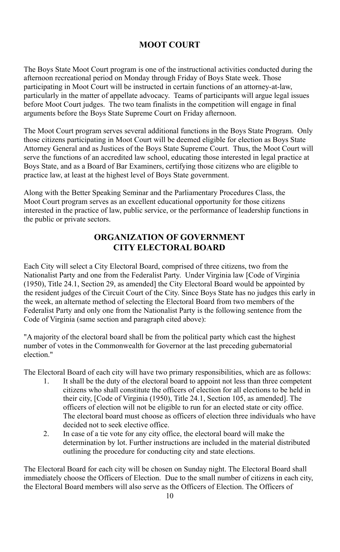## **MOOT COURT**

The Boys State Moot Court program is one of the instructional activities conducted during the afternoon recreational period on Monday through Friday of Boys State week. Those participating in Moot Court will be instructed in certain functions of an attorney-at-law, particularly in the matter of appellate advocacy. Teams of participants will argue legal issues before Moot Court judges. The two team finalists in the competition will engage in final arguments before the Boys State Supreme Court on Friday afternoon.

The Moot Court program serves several additional functions in the Boys State Program. Only those citizens participating in Moot Court will be deemed eligible for election as Boys State Attorney General and as Justices of the Boys State Supreme Court. Thus, the Moot Court will serve the functions of an accredited law school, educating those interested in legal practice at Boys State, and as a Board of Bar Examiners, certifying those citizens who are eligible to practice law, at least at the highest level of Boys State government.

Along with the Better Speaking Seminar and the Parliamentary Procedures Class, the Moot Court program serves as an excellent educational opportunity for those citizens interested in the practice of law, public service, or the performance of leadership functions in the public or private sectors.

## **ORGANIZATION OF GOVERNMENT CITY ELECTORAL BOARD**

Each City will select a City Electoral Board, comprised of three citizens, two from the Nationalist Party and one from the Federalist Party. Under Virginia law [Code of Virginia (1950), Title 24.1, Section 29, as amended] the City Electoral Board would be appointed by the resident judges of the Circuit Court of the City. Since Boys State has no judges this early in the week, an alternate method of selecting the Electoral Board from two members of the Federalist Party and only one from the Nationalist Party is the following sentence from the Code of Virginia (same section and paragraph cited above):

"A majority of the electoral board shall be from the political party which cast the highest number of votes in the Commonwealth for Governor at the last preceding gubernatorial election."

The Electoral Board of each city will have two primary responsibilities, which are as follows:

- 1. It shall be the duty of the electoral board to appoint not less than three competent citizens who shall constitute the officers of election for all elections to be held in their city, [Code of Virginia (1950), Title 24.1, Section 105, as amended]. The officers of election will not be eligible to run for an elected state or city office. The electoral board must choose as officers of election three individuals who have decided not to seek elective office.
- 2. In case of a tie vote for any city office, the electoral board will make the determination by lot. Further instructions are included in the material distributed outlining the procedure for conducting city and state elections.

The Electoral Board for each city will be chosen on Sunday night. The Electoral Board shall immediately choose the Officers of Election. Due to the small number of citizens in each city, the Electoral Board members will also serve as the Officers of Election. The Officers of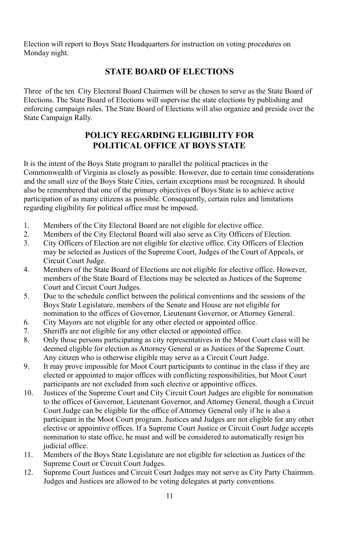Election will report to Boys State Headquarters for instruction on voting procedures on Monday night.

## **STATE BOARD OF ELECTIONS**

Three of the ten City Electoral Board Chairmen will be chosen to serve as the State Board of Elections. The State Board of Elections will supervise the state elections by publishing and enforcing campaign rules. The State Board of Elections will also organize and preside over the State Campaign Rally.

## **POLICY REGARDING ELIGIBILITY FOR POLITICAL OFFICE AT BOYS STATE**

It is the intent of the Boys State program to parallel the political practices in the Commonwealth of Virginia as closely as possible. However, due to certain time considerations and the small size of the Boys State Cities, certain exceptions must be recognized. It should also be remembered that one of the primary objectives of Boys State is to achieve active participation of as many citizens as possible. Consequently, certain rules and limitations regarding eligibility for political office must be imposed.

- 1. Members of the City Electoral Board are not eligible for elective office.<br>2. Members of the City Electoral Board will also serve as City Officers of
- 2. Members of the City Electoral Board will also serve as City Officers of Election.<br>3. City Officers of Election are not eligible for elective office. City Officers of Elect
- 3. City Officers of Election are not eligible for elective office. City Officers of Election may be selected as Justices of the Supreme Court, Judges of the Court of Appeals, or Circuit Court Judge.
- 4. Members of the State Board of Elections are not eligible for elective office. However, members of the State Board of Elections may be selected as Justices of the Supreme Court and Circuit Court Judges.
- 5. Due to the schedule conflict between the political conventions and the sessions of the Boys State Legislature, members of the Senate and House are not eligible for nomination to the offices of Governor, Lieutenant Governor, or Attorney General.
- 6. City Mayors are not eligible for any other elected or appointed office.
- 7. Sheriffs are not eligible for any other elected or appointed office.<br>8. Only those persons participating as city representatives in the Mo
- 8. Only those persons participating as city representatives in the Moot Court class will be deemed eligible for election as Attorney General or as Justices of the Supreme Court. Any citizen who is otherwise eligible may serve as a Circuit Court Judge.
- 9. It may prove impossible for Moot Court participants to continue in the class if they are elected or appointed to major offices with conflicting responsibilities, but Moot Court participants are not excluded from such elective or appointive offices.
- 10. Justices of the Supreme Court and City Circuit Court Judges are eligible for nomination to the offices of Governor, Lieutenant Governor, and Attorney General, though a Circuit Court Judge can be eligible for the office of Attorney General only if he is also a participant in the Moot Court program. Justices and Judges are not eligible for any other elective or appointive offices. If a Supreme Court Justice or Circuit Court Judge accepts nomination to state office, he must and will be considered to automatically resign his judicial office.
- 11. Members of the Boys State Legislature are not eligible for selection as Justices of the Supreme Court or Circuit Court Judges.
- 12. Supreme Court Justices and Circuit Court Judges may not serve as City Party Chairmen. Judges and Justices are allowed to be voting delegates at party conventions.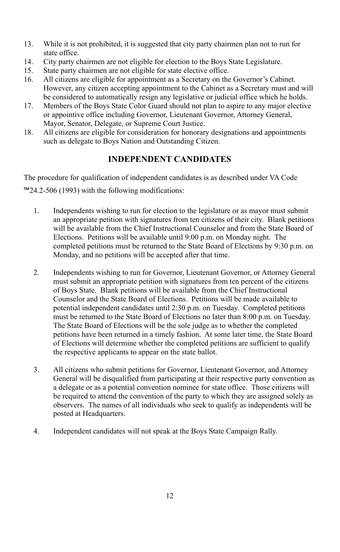- 13. While it is not prohibited, it is suggested that city party chairmen plan not to run for state office.
- 14. City party chairmen are not eligible for election to the Boys State Legislature.
- 15. State party chairmen are not eligible for state elective office.
- 16. All citizens are eligible for appointment as a Secretary on the Governor's Cabinet. However, any citizen accepting appointment to the Cabinet as a Secretary must and will be considered to automatically resign any legislative or judicial office which he holds.
- 17. Members of the Boys State Color Guard should not plan to aspire to any major elective or appointive office including Governor, Lieutenant Governor, Attorney General, Mayor, Senator, Delegate, or Supreme Court Justice.
- 18. All citizens are eligible for consideration for honorary designations and appointments such as delegate to Boys Nation and Outstanding Citizen.

## **INDEPENDENT CANDIDATES**

The procedure for qualification of independent candidates is as described under VA Code ™24.2-506 (1993) with the following modifications:

- 1. Independents wishing to run for election to the legislature or as mayor must submit an appropriate petition with signatures from ten citizens of their city. Blank petitions will be available from the Chief Instructional Counselor and from the State Board of Elections. Petitions will be available until 9:00 p.m. on Monday night. The completed petitions must be returned to the State Board of Elections by 9:30 p.m. on Monday, and no petitions will be accepted after that time.
- 2. Independents wishing to run for Governor, Lieutenant Governor, or Attorney General must submit an appropriate petition with signatures from ten percent of the citizens of Boys State. Blank petitions will be available from the Chief Instructional Counselor and the State Board of Elections. Petitions will be made available to potential independent candidates until 2:30 p.m. on Tuesday. Completed petitions must be returned to the State Board of Elections no later than 8:00 p.m. on Tuesday. The State Board of Elections will be the sole judge as to whether the completed petitions have been returned in a timely fashion. At some later time, the State Board of Elections will determine whether the completed petitions are sufficient to qualify the respective applicants to appear on the state ballot.
- 3. All citizens who submit petitions for Governor, Lieutenant Governor, and Attorney General will be disqualified from participating at their respective party convention as a delegate or as a potential convention nominee for state office. Those citizens will be required to attend the convention of the party to which they are assigned solely as observers. The names of all individuals who seek to qualify as independents will be posted at Headquarters.
- 4. Independent candidates will not speak at the Boys State Campaign Rally.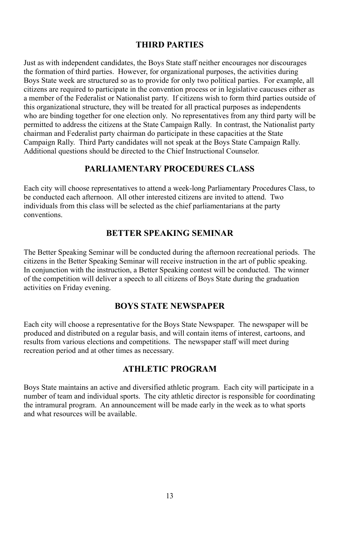#### **THIRD PARTIES**

Just as with independent candidates, the Boys State staff neither encourages nor discourages the formation of third parties. However, for organizational purposes, the activities during Boys State week are structured so as to provide for only two political parties. For example, all citizens are required to participate in the convention process or in legislative caucuses either as a member of the Federalist or Nationalist party. If citizens wish to form third parties outside of this organizational structure, they will be treated for all practical purposes as independents who are binding together for one election only. No representatives from any third party will be permitted to address the citizens at the State Campaign Rally. In contrast, the Nationalist party chairman and Federalist party chairman do participate in these capacities at the State Campaign Rally. Third Party candidates will not speak at the Boys State Campaign Rally. Additional questions should be directed to the Chief Instructional Counselor.

#### **PARLIAMENTARY PROCEDURES CLASS**

Each city will choose representatives to attend a week-long Parliamentary Procedures Class, to be conducted each afternoon. All other interested citizens are invited to attend. Two individuals from this class will be selected as the chief parliamentarians at the party conventions.

## **BETTER SPEAKING SEMINAR**

The Better Speaking Seminar will be conducted during the afternoon recreational periods. The citizens in the Better Speaking Seminar will receive instruction in the art of public speaking. In conjunction with the instruction, a Better Speaking contest will be conducted. The winner of the competition will deliver a speech to all citizens of Boys State during the graduation activities on Friday evening.

#### **BOYS STATE NEWSPAPER**

Each city will choose a representative for the Boys State Newspaper. The newspaper will be produced and distributed on a regular basis, and will contain items of interest, cartoons, and results from various elections and competitions. The newspaper staff will meet during recreation period and at other times as necessary.

#### **ATHLETIC PROGRAM**

Boys State maintains an active and diversified athletic program. Each city will participate in a number of team and individual sports. The city athletic director is responsible for coordinating the intramural program. An announcement will be made early in the week as to what sports and what resources will be available.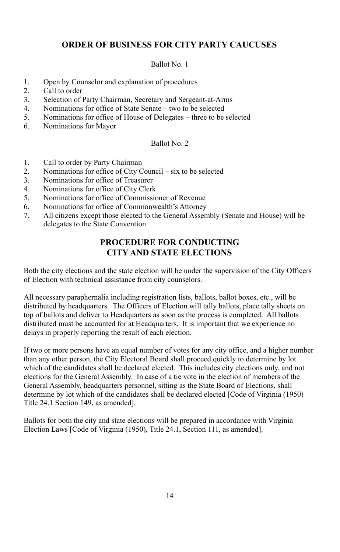## **ORDER OF BUSINESS FOR CITY PARTY CAUCUSES**

#### Ballot No. 1

- 1. Open by Counselor and explanation of procedures<br>2. Call to order
- 2. Call to order<br>3. Selection of
- 3. Selection of Party Chairman, Secretary and Sergeant-at-Arms
- 4. Nominations for office of State Senate two to be selected
- 5. Nominations for office of House of Delegates three to be selected
- 6. Nominations for Mayor

#### Ballot No. 2

- 1. Call to order by Party Chairman
- 2. Nominations for office of City Council six to be selected<br>3. Nominations for office of Treasurer
- 3. Nominations for office of Treasurer
- 4. Nominations for office of City Clerk
- 5. Nominations for office of Commissioner of Revenue
- 6. Nominations for office of Commonwealth's Attorney
- 7. All citizens except those elected to the General Assembly (Senate and House) will be delegates to the State Convention

## **PROCEDURE FOR CONDUCTING CITY AND STATE ELECTIONS**

Both the city elections and the state election will be under the supervision of the City Officers of Election with technical assistance from city counselors.

All necessary paraphernalia including registration lists, ballots, ballot boxes, etc., will be distributed by headquarters. The Officers of Election will tally ballots, place tally sheets on top of ballots and deliver to Headquarters as soon as the process is completed. All ballots distributed must be accounted for at Headquarters. It is important that we experience no delays in properly reporting the result of each election.

If two or more persons have an equal number of votes for any city office, and a higher number than any other person, the City Electoral Board shall proceed quickly to determine by lot which of the candidates shall be declared elected. This includes city elections only, and not elections for the General Assembly. In case of a tie vote in the election of members of the General Assembly, headquarters personnel, sitting as the State Board of Elections, shall determine by lot which of the candidates shall be declared elected [Code of Virginia (1950) Title 24.1 Section 149, as amended].

Ballots for both the city and state elections will be prepared in accordance with Virginia Election Laws [Code of Virginia (1950), Title 24.1, Section 111, as amended].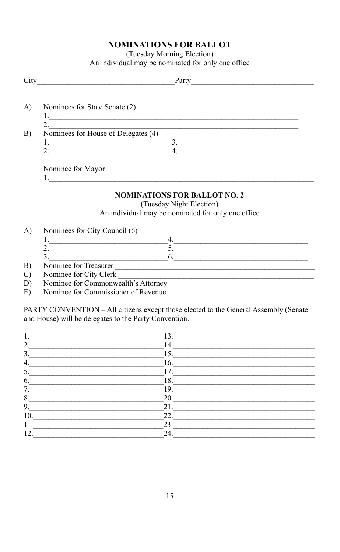## **NOMINATIONS FOR BALLOT**

(Tuesday Morning Election)

An individual may be nominated for only one office

| City            | Party                               |
|-----------------|-------------------------------------|
|                 |                                     |
| A)              | Nominees for State Senate (2)       |
|                 |                                     |
|                 |                                     |
| $\vert B \vert$ | Nominees for House of Delegates (4) |
|                 | $\mathbf{R}$                        |
|                 |                                     |
|                 |                                     |

Nominee for Mayor  $1.$  The state of  $\sim$ 

### **NOMINATIONS FOR BALLOT NO. 2**

(Tuesday Night Election) An individual may be nominated for only one office

Nominees for City Council (6) A)

| Nominee for Treasurer                   |  |
|-----------------------------------------|--|
| $\mathbf{v}$<br>$\sim$ $\sim$<br>$\sim$ |  |

- $B)$
- Nominee for City Clerk  $\mathcal{C}$
- Nominee for Commonwealth's Attorney D)
- $E$ ) Nominee for Commissioner of Revenue

PARTY CONVENTION - All citizens except those elected to the General Assembly (Senate and House) will be delegates to the Party Convention.

|               | 13. |  |
|---------------|-----|--|
| $\mathcal{D}$ | 14. |  |
| 3.            | 15. |  |
| 4.            | 16. |  |
| 5             | 17. |  |
| 6.            | 18. |  |
| 7             | 19. |  |
| 8.            | 20. |  |
| 9.            | 21. |  |
| 10.           | 22. |  |
| 11.           | 23. |  |
| 12.           | 24  |  |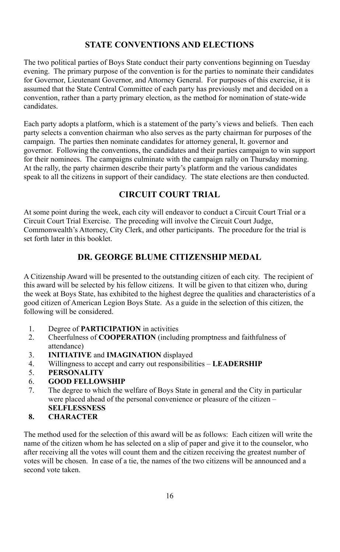## **STATE CONVENTIONS AND ELECTIONS**

The two political parties of Boys State conduct their party conventions beginning on Tuesday evening. The primary purpose of the convention is for the parties to nominate their candidates for Governor, Lieutenant Governor, and Attorney General. For purposes of this exercise, it is assumed that the State Central Committee of each party has previously met and decided on a convention, rather than a party primary election, as the method for nomination of state-wide candidates.

Each party adopts a platform, which is a statement of the party's views and beliefs. Then each party selects a convention chairman who also serves as the party chairman for purposes of the campaign. The parties then nominate candidates for attorney general, lt. governor and governor. Following the conventions, the candidates and their parties campaign to win support for their nominees. The campaigns culminate with the campaign rally on Thursday morning. At the rally, the party chairmen describe their party's platform and the various candidates speak to all the citizens in support of their candidacy. The state elections are then conducted.

## **CIRCUIT COURT TRIAL**

At some point during the week, each city will endeavor to conduct a Circuit Court Trial or a Circuit Court Trial Exercise. The preceding will involve the Circuit Court Judge, Commonwealth's Attorney, City Clerk, and other participants. The procedure for the trial is set forth later in this booklet.

## **DR. GEORGE BLUME CITIZENSHIP MEDAL**

A Citizenship Award will be presented to the outstanding citizen of each city. The recipient of this award will be selected by his fellow citizens. It will be given to that citizen who, during the week at Boys State, has exhibited to the highest degree the qualities and characteristics of a good citizen of American Legion Boys State. As a guide in the selection of this citizen, the following will be considered.

- 1. Degree of **PARTICIPATION** in activities<br>2. Cheerfulness of **COOPERATION** (include
- 2. Cheerfulness of **COOPERATION** (including promptness and faithfulness of attendance)
- 3. **INITIATIVE** and **IMAGINATION** displayed
- 4. Willingness to accept and carry out responsibilities **LEADERSHIP**
- 5. **PERSONALITY**
- 6. **GOOD FELLOWSHIP**
- 7. The degree to which the welfare of Boys State in general and the City in particular were placed ahead of the personal convenience or pleasure of the citizen – **SELFLESSNESS**
- **8. CHARACTER**

The method used for the selection of this award will be as follows: Each citizen will write the name of the citizen whom he has selected on a slip of paper and give it to the counselor, who after receiving all the votes will count them and the citizen receiving the greatest number of votes will be chosen. In case of a tie, the names of the two citizens will be announced and a second vote taken.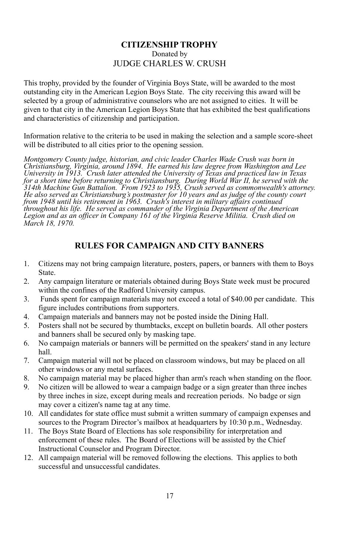#### **CITIZENSHIP TROPHY** Donated by JUDGE CHARLES W. CRUSH

This trophy, provided by the founder of Virginia Boys State, will be awarded to the most outstanding city in the American Legion Boys State. The city receiving this award will be selected by a group of administrative counselors who are not assigned to cities. It will be given to that city in the American Legion Boys State that has exhibited the best qualifications and characteristics of citizenship and participation.

Information relative to the criteria to be used in making the selection and a sample score-sheet will be distributed to all cities prior to the opening session.

*Montgomery County judge, historian, and civic leader Charles Wade Crush was born in* Christiansburg, Virginia, around 1894. He earned his law degree from Washington and Lee<br>University in 1913. Crush later attended the University of Texas and practiced law in Texas for a short time before returning to Christiansburg. During World War II, he served with the<br>314th Machine Gun Battalion. From 1923 to 1935, Crush served as commonwealth's attorney. He also served as Christiansburg's postmaster for 10 years and as judge of the county court<br>from 1948 until his retirement in 1963. Crush's interest in military affairs continued *throughout his life. He served as commander of the Virginia Department of the American Legion and as an of icer in Company 161 of the Virginia Reserve Militia. Crush died on March 18, 1970.*

## **RULES FOR CAMPAIGN AND CITY BANNERS**

- 1. Citizens may not bring campaign literature, posters, papers, or banners with them to Boys State.
- 2. Any campaign literature or materials obtained during Boys State week must be procured within the confines of the Radford University campus.
- 3. Funds spent for campaign materials may not exceed a total of \$40.00 per candidate. This figure includes contributions from supporters.
- 4. Campaign materials and banners may not be posted inside the Dining Hall.
- 5. Posters shall not be secured by thumbtacks, except on bulletin boards. All other posters and banners shall be secured only by masking tape.
- 6. No campaign materials or banners will be permitted on the speakers' stand in any lecture hall.
- 7. Campaign material will not be placed on classroom windows, but may be placed on all other windows or any metal surfaces.
- 8. No campaign material may be placed higher than arm's reach when standing on the floor.
- 9. No citizen will be allowed to wear a campaign badge or a sign greater than three inches by three inches in size, except during meals and recreation periods. No badge or sign may cover a citizen's name tag at any time.
- 10. All candidates for state office must submit a written summary of campaign expenses and sources to the Program Director's mailbox at headquarters by 10:30 p.m., Wednesday.
- 11. The Boys State Board of Elections has sole responsibility for interpretation and enforcement of these rules. The Board of Elections will be assisted by the Chief Instructional Counselor and Program Director.
- 12. All campaign material will be removed following the elections. This applies to both successful and unsuccessful candidates.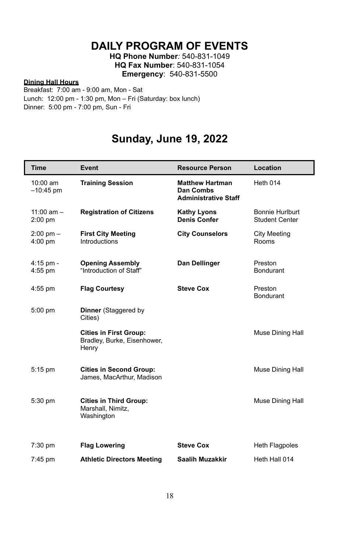## **DAILY PROGRAM OF EVENTS**

**HQ Phone Number***:* 540-831-1049 **HQ Fax Number**: 540-831-1054 **Emergency**: 540-831-5500

#### **Dining Hall Hours**

 $\overline{\phantom{a}}$ 

Breakfast: 7:00 am - 9:00 am, Mon - Sat Lunch: 12:00 pm - 1:30 pm, Mon – Fri (Saturday: box lunch) Dinner: 5:00 pm - 7:00 pm, Sun - Fri

## **Sunday, June 19, 2022**

| <b>Time</b>                | Event                                                                 | <b>Resource Person</b>                                             | Location                          |
|----------------------------|-----------------------------------------------------------------------|--------------------------------------------------------------------|-----------------------------------|
| $10:00$ am<br>$-10:45$ pm  | <b>Training Session</b>                                               | <b>Matthew Hartman</b><br>Dan Combs<br><b>Administrative Staff</b> | <b>Heth 014</b>                   |
| $11:00$ am $-$<br>2:00 pm  | <b>Registration of Citizens</b>                                       | Kathy Lyons<br><b>Denis Confer</b>                                 | Bonnie Hurlburt<br>Student Center |
| $2:00$ pm $-$<br>$4:00$ pm | <b>First City Meeting</b><br>Introductions                            | <b>City Counselors</b>                                             | <b>City Meeting</b><br>Rooms      |
| $4:15$ pm -<br>4:55 pm     | <b>Opening Assembly</b><br>"Introduction of Staff"                    | Dan Dellinger                                                      | Preston<br><b>Bondurant</b>       |
| $4:55$ pm                  | <b>Flag Courtesy</b>                                                  | <b>Steve Cox</b>                                                   | Preston<br>Bondurant              |
| 5:00 pm                    | <b>Dinner</b> (Staggered by<br>Cities)                                |                                                                    |                                   |
|                            | <b>Cities in First Group:</b><br>Bradley, Burke, Eisenhower,<br>Henry |                                                                    | Muse Dining Hall                  |
| 5:15 pm                    | <b>Cities in Second Group:</b><br>James, MacArthur, Madison           |                                                                    | Muse Dining Hall                  |
| 5:30 pm                    | <b>Cities in Third Group:</b><br>Marshall, Nimitz,<br>Washington      |                                                                    | Muse Dining Hall                  |
| 7:30 pm                    | <b>Flag Lowering</b>                                                  | <b>Steve Cox</b>                                                   | <b>Heth Flagpoles</b>             |
| 7:45 pm                    | <b>Athletic Directors Meeting</b>                                     | Saalih Muzakkir                                                    | Heth Hall 014                     |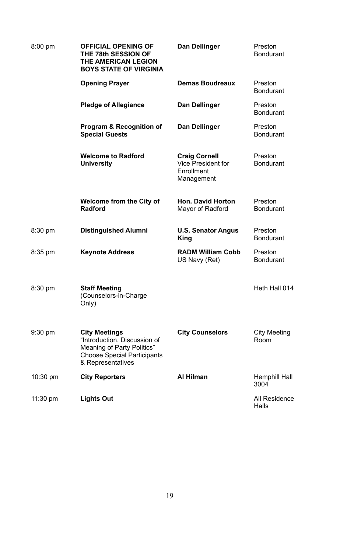| $8:00$ pm          | OFFICIAL OPENING OF<br>THE 78th SESSION OF<br>THE AMERICAN LEGION<br><b>BOYS STATE OF VIRGINIA</b>                                            | Dan Dellinger                                                          | Preston<br>Bondurant        |
|--------------------|-----------------------------------------------------------------------------------------------------------------------------------------------|------------------------------------------------------------------------|-----------------------------|
|                    | <b>Opening Prayer</b>                                                                                                                         | <b>Demas Boudreaux</b>                                                 | Preston<br>Bondurant        |
|                    | <b>Pledge of Allegiance</b>                                                                                                                   | Dan Dellinger                                                          | Preston<br>Bondurant        |
|                    | Program & Recognition of<br><b>Special Guests</b>                                                                                             | Dan Dellinger                                                          | Preston<br>Bondurant        |
|                    | <b>Welcome to Radford</b><br><b>University</b>                                                                                                | <b>Craig Cornell</b><br>Vice President for<br>Enrollment<br>Management | Preston<br><b>Bondurant</b> |
|                    | Welcome from the City of<br>Radford                                                                                                           | Hon. David Horton<br>Mayor of Radford                                  | Preston<br>Bondurant        |
| 8:30 pm            | <b>Distinguished Alumni</b>                                                                                                                   | <b>U.S. Senator Angus</b><br>King                                      | Preston<br><b>Bondurant</b> |
| 8:35 pm            | Keynote Address                                                                                                                               | <b>RADM William Cobb</b><br>US Navy (Ret)                              | Preston<br>Bondurant        |
| 8:30 pm            | <b>Staff Meeting</b><br>(Counselors-in-Charge<br>Only)                                                                                        |                                                                        | Heth Hall 014               |
| $9:30$ pm          | <b>City Meetings</b><br>"Introduction, Discussion of<br>Meaning of Party Politics"<br><b>Choose Special Participants</b><br>& Representatives | <b>City Counselors</b>                                                 | City Meeting<br>Room        |
| 10:30 pm           | <b>City Reporters</b>                                                                                                                         | Al Hilman                                                              | Hemphill Hall<br>3004       |
| $11:30 \text{ pm}$ | <b>Lights Out</b>                                                                                                                             |                                                                        | All Residence<br>Halls      |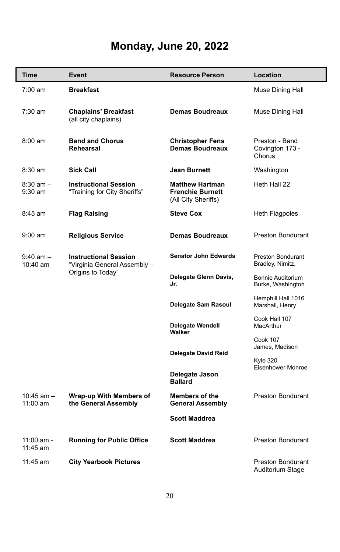# **Monday, June 20, 2022**

| Time                       | Event                                                        | <b>Resource Person</b>                                                   | Location                                     |
|----------------------------|--------------------------------------------------------------|--------------------------------------------------------------------------|----------------------------------------------|
| 7:00 am                    | <b>Breakfast</b>                                             |                                                                          | Muse Dining Hall                             |
| 7:30 am                    | <b>Chaplains' Breakfast</b><br>(all city chaplains)          | <b>Demas Boudreaux</b>                                                   | Muse Dining Hall                             |
| $8:00$ am                  | <b>Band and Chorus</b><br>Rehearsal                          | <b>Christopher Fens</b><br><b>Demas Boudreaux</b>                        | Preston - Band<br>Covington 173 -<br>Chorus  |
| 8:30 am                    | Sick Call                                                    | Jean Burnett                                                             | Washington                                   |
| $8:30$ am $-$<br>$9:30$ am | <b>Instructional Session</b><br>"Training for City Sheriffs" | <b>Matthew Hartman</b><br><b>Frenchie Burnett</b><br>(All City Sheriffs) | Heth Hall 22                                 |
| 8:45 am                    | Flag Raising                                                 | <b>Steve Cox</b>                                                         | Heth Flagpoles                               |
| $9:00 \text{ am}$          | <b>Religious Service</b>                                     | <b>Demas Boudreaux</b>                                                   | <b>Preston Bondurant</b>                     |
| $9:40$ am $-$<br>10:40 am  | <b>Instructional Session</b><br>"Virginia General Assembly - | <b>Senator John Edwards</b>                                              | Preston Bondurant<br>Bradley, Nimitz,        |
|                            | Origins to Today"                                            | Delegate Glenn Davis,<br>Jr.                                             | Bonnie Auditorium<br>Burke, Washington       |
|                            |                                                              | Delegate Sam Rasoul                                                      | Hemphill Hall 1016<br>Marshall, Henry        |
|                            |                                                              | <b>Delegate Wendell</b><br>Walker                                        | Cook Hall 107<br>MacArthur                   |
|                            |                                                              | <b>Delegate David Reid</b>                                               | <b>Cook 107</b><br>James, Madison            |
|                            |                                                              |                                                                          | <b>Kyle 320</b><br>Eisenhower Monroe         |
|                            |                                                              | Delegate Jason<br><b>Ballard</b>                                         |                                              |
| $10:45$ am $-$<br>11:00 am | Wrap-up With Members of<br>the General Assembly              | Members of the<br><b>General Assembly</b>                                | <b>Preston Bondurant</b>                     |
|                            |                                                              | <b>Scott Maddrea</b>                                                     |                                              |
| 11:00 am -<br>11:45 am     | <b>Running for Public Office</b>                             | <b>Scott Maddrea</b>                                                     | <b>Preston Bondurant</b>                     |
| 11:45 am                   | <b>City Yearbook Pictures</b>                                |                                                                          | <b>Preston Bondurant</b><br>Auditorium Stage |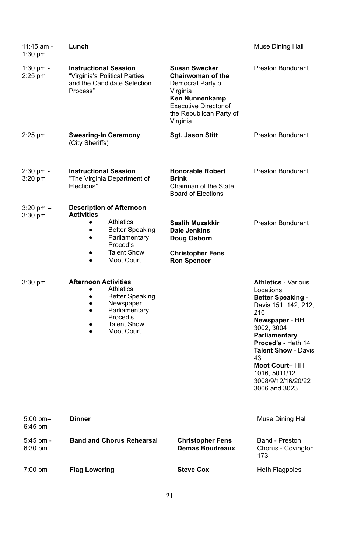| 11:45 am -<br>$1:30$ pm  | Lunch                                                                                                                                                                                        |                                                                                                                                                                     | Muse Dining Hall                                                                                                                                                                                                                                                                       |
|--------------------------|----------------------------------------------------------------------------------------------------------------------------------------------------------------------------------------------|---------------------------------------------------------------------------------------------------------------------------------------------------------------------|----------------------------------------------------------------------------------------------------------------------------------------------------------------------------------------------------------------------------------------------------------------------------------------|
| 1:30 pm -<br>2:25 pm     | <b>Instructional Session</b><br>"Virginia's Political Parties<br>and the Candidate Selection<br>Process"                                                                                     | <b>Susan Swecker</b><br><b>Chairwoman of the</b><br>Democrat Party of<br>Virginia<br>Ken Nunnenkamp<br>Executive Director of<br>the Republican Party of<br>Virginia | <b>Preston Bondurant</b>                                                                                                                                                                                                                                                               |
| $2:25$ pm                | <b>Swearing-In Ceremony</b><br>(City Sheriffs)                                                                                                                                               | Sgt. Jason Stitt                                                                                                                                                    | Preston Bondurant                                                                                                                                                                                                                                                                      |
| 2:30 pm -<br>$3:20$ pm   | <b>Instructional Session</b><br>"The Virginia Department of<br>Elections"                                                                                                                    | <b>Honorable Robert</b><br>Brink<br>Chairman of the State<br>Board of Elections                                                                                     | <b>Preston Bondurant</b>                                                                                                                                                                                                                                                               |
| $3:20$ pm $-$<br>3:30 pm | <b>Description of Afternoon</b><br>Activities                                                                                                                                                |                                                                                                                                                                     |                                                                                                                                                                                                                                                                                        |
|                          | Athletics<br><b>Better Speaking</b><br>٠<br>Parliamentary<br>٠<br>Proced's                                                                                                                   | Saalih Muzakkir<br>Dale Jenkins<br>Doug Osborn                                                                                                                      | <b>Preston Bondurant</b>                                                                                                                                                                                                                                                               |
|                          | <b>Talent Show</b><br>٠<br>Moot Court<br>٠                                                                                                                                                   | <b>Christopher Fens</b><br><b>Ron Spencer</b>                                                                                                                       |                                                                                                                                                                                                                                                                                        |
| 3:30 pm                  | <b>Afternoon Activities</b><br>Athletics<br>٠<br><b>Better Speaking</b><br>$\bullet$<br>Newspaper<br>$\bullet$<br>Parliamentary<br>$\bullet$<br>Proced's<br><b>Talent Show</b><br>Moot Court |                                                                                                                                                                     | <b>Athletics - Various</b><br>Locations<br><b>Better Speaking -</b><br>Davis 151, 142, 212,<br>216<br>Newspaper - HH<br>3002, 3004<br>Parliamentary<br>Proced's - Heth 14<br><b>Talent Show - Davis</b><br>43<br>Moot Court-HH<br>1016, 5011/12<br>3008/9/12/16/20/22<br>3006 and 3023 |
| $5:00$ pm $-$<br>6:45 pm | <b>Dinner</b>                                                                                                                                                                                |                                                                                                                                                                     | Muse Dining Hall                                                                                                                                                                                                                                                                       |
| 5:45 pm -<br>6:30 pm     | <b>Band and Chorus Rehearsal</b>                                                                                                                                                             | <b>Christopher Fens</b><br>Demas Boudreaux                                                                                                                          | Band - Preston<br>Chorus - Covington<br>173                                                                                                                                                                                                                                            |
| $7:00 \text{ pm}$        | <b>Flag Lowering</b>                                                                                                                                                                         | <b>Steve Cox</b>                                                                                                                                                    | <b>Heth Flagpoles</b>                                                                                                                                                                                                                                                                  |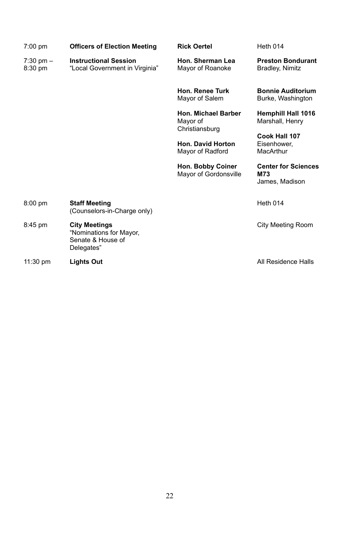| $7:00 \text{ pm}$        | <b>Officers of Election Meeting</b>                                                | <b>Rick Oertel</b>                                | <b>Heth 014</b>                                     |
|--------------------------|------------------------------------------------------------------------------------|---------------------------------------------------|-----------------------------------------------------|
| $7:30$ pm $-$<br>8:30 pm | <b>Instructional Session</b><br>"Local Government in Virginia"                     | Hon. Sherman Lea<br>Mayor of Roanoke              | <b>Preston Bondurant</b><br>Bradley, Nimitz         |
|                          |                                                                                    | <b>Hon. Renee Turk</b><br>Mayor of Salem          | <b>Bonnie Auditorium</b><br>Burke, Washington       |
|                          |                                                                                    | Hon. Michael Barber<br>Mayor of<br>Christiansburg | Hemphill Hall 1016<br>Marshall, Henry               |
|                          |                                                                                    | Hon. David Horton                                 | Cook Hall 107<br>Eisenhower.                        |
|                          |                                                                                    | Mayor of Radford                                  | MacArthur                                           |
|                          |                                                                                    | Hon. Bobby Coiner<br>Mayor of Gordonsville        | <b>Center for Sciences</b><br>M73<br>James, Madison |
| $8:00$ pm                | <b>Staff Meeting</b><br>(Counselors-in-Charge only)                                |                                                   | <b>Heth 014</b>                                     |
| $8:45$ pm                | <b>City Meetings</b><br>"Nominations for Mayor,<br>Senate & House of<br>Delegates" |                                                   | City Meeting Room                                   |

11:30 pm **Lights Out Lights out Lights out All Residence Halls**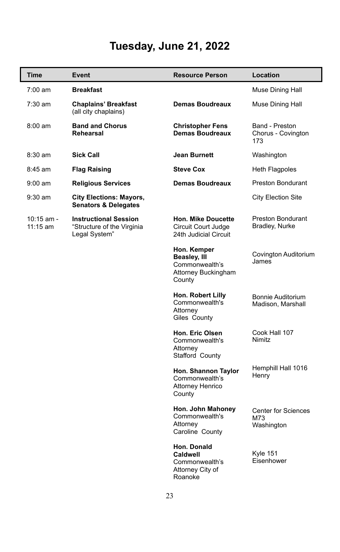# **Tuesday, June 21, 2022**

| <b>Time</b>              | Event                                                                       | <b>Resource Person</b>                                                         | Location                                        |
|--------------------------|-----------------------------------------------------------------------------|--------------------------------------------------------------------------------|-------------------------------------------------|
| $7:00 \text{ am}$        | <b>Breakfast</b>                                                            |                                                                                | Muse Dining Hall                                |
| 7:30 am                  | <b>Chaplains' Breakfast</b><br>(all city chaplains)                         | <b>Demas Boudreaux</b>                                                         | Muse Dining Hall                                |
| $8:00$ am                | <b>Band and Chorus</b><br>Rehearsal                                         | <b>Christopher Fens</b><br>Demas Boudreaux                                     | Band - Preston<br>Chorus - Covington<br>173     |
| $8:30$ am                | <b>Sick Call</b>                                                            | Jean Burnett                                                                   | Washington                                      |
| $8:45$ am                | <b>Flag Raising</b>                                                         | <b>Steve Cox</b>                                                               | Heth Flagpoles                                  |
| $9:00$ am                | <b>Religious Services</b>                                                   | <b>Demas Boudreaux</b>                                                         | Preston Bondurant                               |
| $9:30$ am                | <b>City Elections: Mayors,</b><br><b>Senators &amp; Delegates</b>           |                                                                                | <b>City Election Site</b>                       |
| 10:15 am -<br>$11:15$ am | <b>Instructional Session</b><br>"Structure of the Virginia<br>Legal System" | Hon. Mike Doucette<br>Circuit Court Judge<br>24th Judicial Circuit             | <b>Preston Bondurant</b><br>Bradley, Nurke      |
|                          |                                                                             | Hon. Kemper<br>Beasley, III<br>Commonwealth's<br>Attorney Buckingham<br>County | Covington Auditorium<br>James                   |
|                          |                                                                             | Hon. Robert Lilly<br>Commonwealth's<br>Attorney<br>Giles County                | Bonnie Auditorium<br>Madison, Marshall          |
|                          |                                                                             | Hon. Eric Olsen<br>Commonwealth's<br>Attorney<br>Stafford County               | Cook Hall 107<br>Nimitz                         |
|                          |                                                                             | Hon. Shannon Taylor<br>Commonwealth's<br>Attorney Henrico<br>County            | Hemphill Hall 1016<br>Henry                     |
|                          |                                                                             | Hon. John Mahoney<br>Commonwealth's<br>Attorney<br>Caroline County             | <b>Center for Sciences</b><br>M73<br>Washington |
|                          |                                                                             | Hon. Donald<br>Caldwell<br>Commonwealth's<br>Attorney City of<br>Roanoke       | <b>Kyle 151</b><br>Eisenhower                   |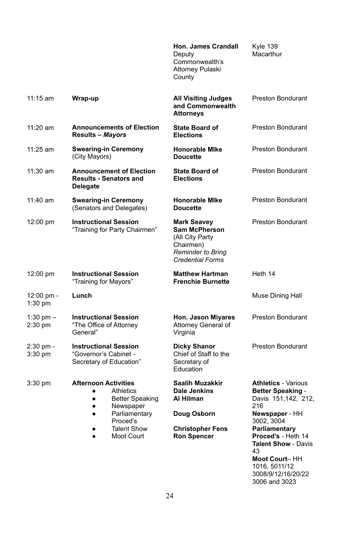**Hon. James Crandall** Deputy Commonwealth's Attorney Pulaski **County** Kyle 139 **Macarthur** 11:15 am **Wrap-up All Visiting Judges and Commonwealth Attorneys** Preston Bondurant 11:20 am **Announcements of Election Results –** *Mayors* **State Board of Elections** Preston Bondurant 11:25 am **Swearing-in Ceremony** (City Mayors) **Honorable MIke Doucette** Preston Bondurant 11:30 am **Announcement of Election Results - Senators and Delegate State Board of Elections** Preston Bondurant 11:40 am **Swearing-in Ceremony** (Senators and Delegates) **Honorable MIke Doucette** Preston Bondurant 12:00 pm **Instructional Session** "Training for Party Chairmen" **Mark Seavey Sam McPherson** (All City Party Chairmen) *Reminder to Bring Credential Forms* Preston Bondurant 12:00 pm **Instructional Session** "Training for Mayors" **Matthew Hartman Frenchie Burnette** Heth 14 12:00 pm - 1:30 pm **Lunch** Muse Dining Hall 1:30 pm – 2:30 pm **Instructional Session** "The Office of Attorney General" **Hon. Jason Miyares** Attorney General of Virginia Preston Bondurant 2:30 pm - 3:30 pm **Instructional Session** "Governor's Cabinet - Secretary of Education" **Dicky Shanor** Chief of Staff to the Secretary of **Education** Preston Bondurant 3:30 pm **Afternoon Activities** ● Athletics ● Better Speaking • Newspaper ● Parliamentary Proced's ● Talent Show Moot Court **Saalih Muzakkir Dale Jenkins Al Hilman Doug Osborn Christopher Fens Ron Spencer Athletics** - Various **Better Speaking** - Davis 151,142, 212, 216 **Newspaper** - HH 3002, 3004 **Parliamentary Proced's** - Heth 14

**Talent Show** - Davis 43 **Moot Court**– HH 1016, 5011/12 3008/9/12/16/20/22 3006 and 3023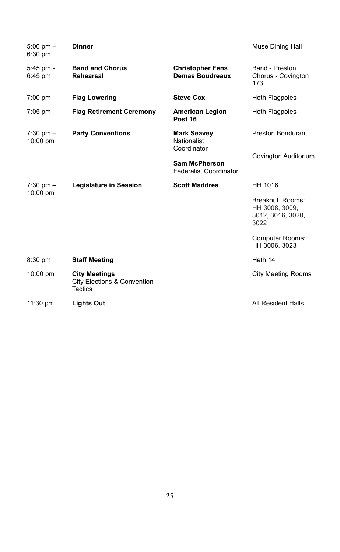| $5:00$ pm $-$<br>6:30 pm  | <b>Dinner</b>                                                                    |                                                   | Muse Dining Hall                                               |
|---------------------------|----------------------------------------------------------------------------------|---------------------------------------------------|----------------------------------------------------------------|
| $5:45$ pm -<br>6:45 pm    | <b>Band and Chorus</b><br>Rehearsal                                              | <b>Christopher Fens</b><br><b>Demas Boudreaux</b> | Band - Preston<br>Chorus - Covington<br>173                    |
| $7:00$ pm                 | <b>Flag Lowering</b>                                                             | <b>Steve Cox</b>                                  | <b>Heth Flagpoles</b>                                          |
| $7:05$ pm                 | <b>Flag Retirement Ceremony</b>                                                  | <b>American Legion</b><br>Post 16                 | <b>Heth Flagpoles</b>                                          |
| $7:30$ pm $-$<br>10:00 pm | <b>Party Conventions</b>                                                         | <b>Mark Seavey</b><br>Nationalist<br>Coordinator  | <b>Preston Bondurant</b>                                       |
|                           |                                                                                  | Sam McPherson<br><b>Federalist Coordinator</b>    | Covington Auditorium                                           |
| $7:30$ pm $-$<br>10:00 pm | Legislature in Session                                                           | <b>Scott Maddrea</b>                              | HH 1016                                                        |
|                           |                                                                                  |                                                   | Breakout Rooms:<br>HH 3008, 3009,<br>3012, 3016, 3020,<br>3022 |
|                           |                                                                                  |                                                   | Computer Rooms:<br>HH 3006, 3023                               |
| 8:30 pm                   | <b>Staff Meeting</b>                                                             |                                                   | Heth 14                                                        |
| 10:00 pm                  | <b>City Meetings</b><br><b>City Elections &amp; Convention</b><br><b>Tactics</b> |                                                   | <b>City Meeting Rooms</b>                                      |
| 11:30 pm                  | <b>Lights Out</b>                                                                |                                                   | All Resident Halls                                             |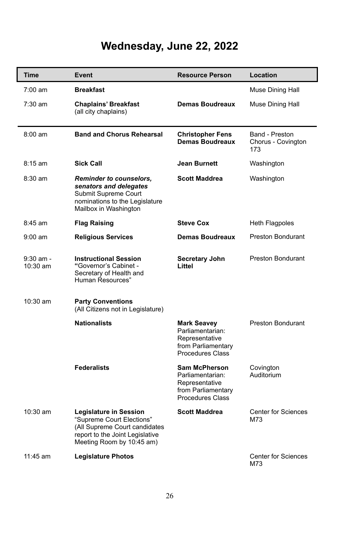# **Wednesday, June 22, 2022**

| <b>Time</b>             | Event                                                                                                                                                | <b>Resource Person</b>                                                                                    | Location                                    |
|-------------------------|------------------------------------------------------------------------------------------------------------------------------------------------------|-----------------------------------------------------------------------------------------------------------|---------------------------------------------|
| $7:00 \text{ am}$       | <b>Breakfast</b>                                                                                                                                     |                                                                                                           | Muse Dining Hall                            |
| 7:30 am                 | <b>Chaplains' Breakfast</b><br>(all city chaplains)                                                                                                  | <b>Demas Boudreaux</b>                                                                                    | Muse Dining Hall                            |
| $8:00 \text{ am}$       | <b>Band and Chorus Rehearsal</b>                                                                                                                     | <b>Christopher Fens</b><br>Demas Boudreaux                                                                | Band - Preston<br>Chorus - Covington<br>173 |
| $8:15$ am               | <b>Sick Call</b>                                                                                                                                     | Jean Burnett                                                                                              | Washington                                  |
| $8:30$ am               | <b>Reminder to counselors,</b><br>senators and delegates<br>Submit Supreme Court<br>nominations to the Legislature<br>Mailbox in Washington          | <b>Scott Maddrea</b>                                                                                      | Washington                                  |
| $8:45$ am               | <b>Flag Raising</b>                                                                                                                                  | <b>Steve Cox</b>                                                                                          | Heth Flagpoles                              |
| $9:00$ am               | <b>Religious Services</b>                                                                                                                            | <b>Demas Boudreaux</b>                                                                                    | <b>Preston Bondurant</b>                    |
| $9:30$ am -<br>10:30 am | <b>Instructional Session</b><br>"Governor's Cabinet -<br>Secretary of Health and<br>Human Resources"                                                 | Secretary John<br>Littel                                                                                  | <b>Preston Bondurant</b>                    |
| 10:30 am                | <b>Party Conventions</b><br>(All Citizens not in Legislature)                                                                                        |                                                                                                           |                                             |
|                         | <b>Nationalists</b>                                                                                                                                  | <b>Mark Seavey</b><br>Parliamentarian:<br>Representative<br>from Parliamentary<br><b>Procedures Class</b> | Preston Bondurant                           |
|                         | <b>Federalists</b>                                                                                                                                   | Sam McPherson<br>Parliamentarian:<br>Representative<br>from Parliamentary<br><b>Procedures Class</b>      | Covington<br>Auditorium                     |
| 10:30 am                | Legislature in Session<br>"Supreme Court Elections"<br>(All Supreme Court candidates<br>report to the Joint Legislative<br>Meeting Room by 10:45 am) | <b>Scott Maddrea</b>                                                                                      | Center for Sciences<br>M73                  |
| $11:45$ am              | <b>Legislature Photos</b>                                                                                                                            |                                                                                                           | <b>Center for Sciences</b><br>M73           |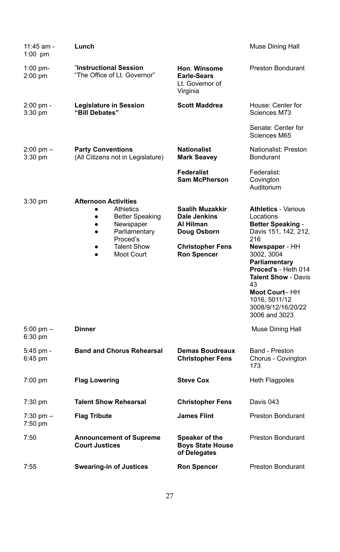| 11:45 am -<br>1:00 $pm$        | Lunch                                                                                                                                                                                             |                                                                                                              | Muse Dining Hall                                                                                                                                                                                                                                                                        |
|--------------------------------|---------------------------------------------------------------------------------------------------------------------------------------------------------------------------------------------------|--------------------------------------------------------------------------------------------------------------|-----------------------------------------------------------------------------------------------------------------------------------------------------------------------------------------------------------------------------------------------------------------------------------------|
| 1:00 pm-<br>2:00 pm            | "Instructional Session<br>"The Office of Lt. Governor"                                                                                                                                            | Hon. Winsome<br><b>Earle-Sears</b><br>Lt. Governor of<br>Virginia                                            | <b>Preston Bondurant</b>                                                                                                                                                                                                                                                                |
| 2:00 pm -<br>3:30 pm           | Legislature in Session<br>"Bill Debates"                                                                                                                                                          | <b>Scott Maddrea</b>                                                                                         | House: Center for<br>Sciences M73                                                                                                                                                                                                                                                       |
|                                |                                                                                                                                                                                                   |                                                                                                              | Senate: Center for<br>Sciences M65                                                                                                                                                                                                                                                      |
| $2:00 \text{ pm} -$<br>3:30 pm | <b>Party Conventions</b><br>(All Citizens not in Legislature)                                                                                                                                     | <b>Nationalist</b><br><b>Mark Seavey</b>                                                                     | Nationalist: Preston<br><b>Bondurant</b>                                                                                                                                                                                                                                                |
|                                |                                                                                                                                                                                                   | <b>Federalist</b><br><b>Sam McPherson</b>                                                                    | Federalist:<br>Covington<br>Auditorium                                                                                                                                                                                                                                                  |
| 3:30 pm                        | <b>Afternoon Activities</b><br>Athletics<br><b>Better Speaking</b><br>$\bullet$<br>Newspaper<br>$\bullet$<br>Parliamentary<br>$\bullet$<br>Proced's<br><b>Talent Show</b><br>٠<br>Moot Court<br>٠ | Saalih Muzakkir<br>Dale Jenkins<br>Al Hilman<br>Doug Osborn<br><b>Christopher Fens</b><br><b>Ron Spencer</b> | <b>Athletics - Various</b><br>Locations<br><b>Better Speaking -</b><br>Davis 151, 142, 212,<br>216<br>Newspaper - HH<br>3002, 3004<br>Parliamentary<br>Proced's - Heth 014<br><b>Talent Show - Davis</b><br>43<br>Moot Court-HH<br>1016, 5011/12<br>3008/9/12/16/20/22<br>3006 and 3023 |
| 5:00 pm -<br>6:30 pm           | <b>Dinner</b>                                                                                                                                                                                     |                                                                                                              | Muse Dining Hall                                                                                                                                                                                                                                                                        |
| 5:45 pm -<br>6:45 pm           | <b>Band and Chorus Rehearsal</b>                                                                                                                                                                  | <b>Demas Boudreaux</b><br><b>Christopher Fens</b>                                                            | Band - Preston<br>Chorus - Covington<br>173                                                                                                                                                                                                                                             |
| 7:00 pm                        | <b>Flag Lowering</b>                                                                                                                                                                              | <b>Steve Cox</b>                                                                                             | Heth Flagpoles                                                                                                                                                                                                                                                                          |
| 7:30 pm                        | <b>Talent Show Rehearsal</b>                                                                                                                                                                      | <b>Christopher Fens</b>                                                                                      | Davis 043                                                                                                                                                                                                                                                                               |
| 7:30 pm –<br>7:50 pm           | <b>Flag Tribute</b>                                                                                                                                                                               | James Flint                                                                                                  | <b>Preston Bondurant</b>                                                                                                                                                                                                                                                                |
| 7:50                           | <b>Announcement of Supreme</b><br><b>Court Justices</b>                                                                                                                                           | Speaker of the<br><b>Boys State House</b><br>of Delegates                                                    | <b>Preston Bondurant</b>                                                                                                                                                                                                                                                                |
| 7:55                           | <b>Swearing-in of Justices</b>                                                                                                                                                                    | <b>Ron Spencer</b>                                                                                           | Preston Bondurant                                                                                                                                                                                                                                                                       |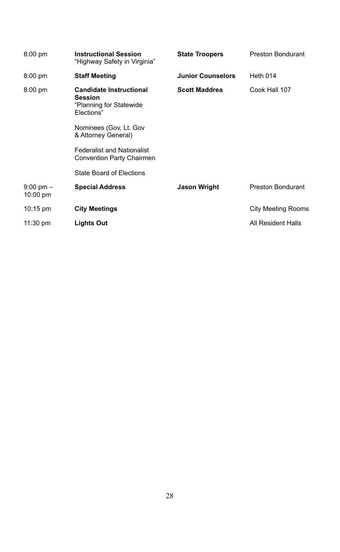| $8:00$ pm                 | <b>Instructional Session</b><br>"Highway Safety in Virginia"                              | <b>State Troopers</b>    | <b>Preston Bondurant</b> |
|---------------------------|-------------------------------------------------------------------------------------------|--------------------------|--------------------------|
| $8:00$ pm                 | <b>Staff Meeting</b>                                                                      | <b>Junior Counselors</b> | Heth 014                 |
| $8:00$ pm                 | <b>Candidate Instructional</b><br><b>Session</b><br>"Planning for Statewide<br>Elections" | <b>Scott Maddrea</b>     | Cook Hall 107            |
|                           | Nominees (Gov, Lt. Gov<br>& Attorney General)                                             |                          |                          |
|                           | <b>Federalist and Nationalist</b><br>Convention Party Chairmen                            |                          |                          |
|                           | <b>State Board of Elections</b>                                                           |                          |                          |
| $9:00$ pm $-$<br>10:00 pm | <b>Special Address</b>                                                                    | <b>Jason Wright</b>      | <b>Preston Bondurant</b> |
| $10:15 \text{ pm}$        | <b>City Meetings</b>                                                                      |                          | City Meeting Rooms       |
| 11:30 pm                  | <b>Lights Out</b>                                                                         |                          | All Resident Halls       |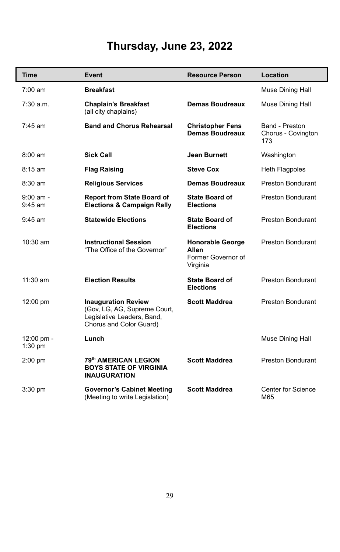## **Thursday, June 23, 2022**

| Time                     | Event                                                                                                               | <b>Resource Person</b>                                             | Location                                    |
|--------------------------|---------------------------------------------------------------------------------------------------------------------|--------------------------------------------------------------------|---------------------------------------------|
| $7:00 \text{ am}$        | <b>Breakfast</b>                                                                                                    |                                                                    | Muse Dining Hall                            |
| 7:30 a.m.                | <b>Chaplain's Breakfast</b><br>(all city chaplains)                                                                 | Demas Boudreaux                                                    | Muse Dining Hall                            |
| $7:45$ am                | <b>Band and Chorus Rehearsal</b>                                                                                    | <b>Christopher Fens</b><br><b>Demas Boudreaux</b>                  | Band - Preston<br>Chorus - Covington<br>173 |
| $8:00 \text{ am}$        | Sick Call                                                                                                           | Jean Burnett                                                       | Washington                                  |
| $8:15$ am                | <b>Flag Raising</b>                                                                                                 | <b>Steve Cox</b>                                                   | Heth Flagpoles                              |
| $8:30$ am                | <b>Religious Services</b>                                                                                           | Demas Boudreaux                                                    | Preston Bondurant                           |
| $9:00$ am -<br>$9:45$ am | <b>Report from State Board of</b><br><b>Elections &amp; Campaign Rally</b>                                          | <b>State Board of</b><br><b>Elections</b>                          | Preston Bondurant                           |
| $9:45$ am                | <b>Statewide Elections</b>                                                                                          | <b>State Board of</b><br><b>Elections</b>                          | Preston Bondurant                           |
| $10:30$ am               | <b>Instructional Session</b><br>"The Office of the Governor"                                                        | <b>Honorable George</b><br>Allen<br>Former Governor of<br>Virginia | Preston Bondurant                           |
| $11:30$ am               | <b>Election Results</b>                                                                                             | <b>State Board of</b><br><b>Elections</b>                          | Preston Bondurant                           |
| 12:00 pm                 | <b>Inauguration Review</b><br>(Gov, LG, AG, Supreme Court,<br>Legislative Leaders, Band,<br>Chorus and Color Guard) | <b>Scott Maddrea</b>                                               | Preston Bondurant                           |
| 12:00 pm -<br>1:30 pm    | Lunch                                                                                                               |                                                                    | Muse Dining Hall                            |
| 2:00 pm                  | 79th AMERICAN LEGION<br><b>BOYS STATE OF VIRGINIA</b><br><b>INAUGURATION</b>                                        | <b>Scott Maddrea</b>                                               | Preston Bondurant                           |
| $3:30$ pm                | <b>Governor's Cabinet Meeting</b><br>(Meeting to write Legislation)                                                 | <b>Scott Maddrea</b>                                               | Center for Science<br>M65                   |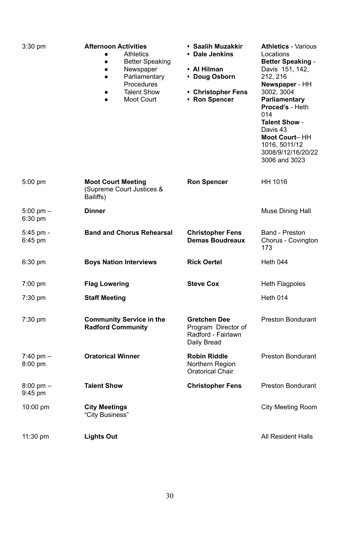| 3:30 pm                          | <b>Afternoon Activities</b><br>Athletics<br>٠<br><b>Better Speaking</b><br>٠<br>Newspaper<br>٠<br>Parliamentary<br>$\bullet$<br>Procedures<br><b>Talent Show</b><br>٠<br>Moot Court<br>$\bullet$ | • Saalih Muzakkir<br>• Dale Jenkins<br>• Al Hilman<br>• Doug Osborn<br>• Christopher Fens<br>• Ron Spencer | <b>Athletics - Various</b><br>Locations<br><b>Better Speaking -</b><br>Davis 151, 142,<br>212, 216<br>Newspaper - HH<br>3002, 3004<br>Parliamentary<br>Proced's - Heth<br>014<br><b>Talent Show -</b><br>Davis 43<br>Moot Court-HH<br>1016.5011/12<br>3008/9/12/16/20/22<br>3006 and 3023 |
|----------------------------------|--------------------------------------------------------------------------------------------------------------------------------------------------------------------------------------------------|------------------------------------------------------------------------------------------------------------|-------------------------------------------------------------------------------------------------------------------------------------------------------------------------------------------------------------------------------------------------------------------------------------------|
| $5:00$ pm                        | <b>Moot Court Meeting</b><br>(Supreme Court Justices &<br>Bailiffs)                                                                                                                              | <b>Ron Spencer</b>                                                                                         | HH 1016                                                                                                                                                                                                                                                                                   |
| $5:00 \text{ pm} -$<br>6:30 pm   | <b>Dinner</b>                                                                                                                                                                                    |                                                                                                            | Muse Dining Hall                                                                                                                                                                                                                                                                          |
| 5:45 pm -<br>6:45 pm             | <b>Band and Chorus Rehearsal</b>                                                                                                                                                                 | <b>Christopher Fens</b><br>Demas Boudreaux                                                                 | Band - Preston<br>Chorus - Covington<br>173                                                                                                                                                                                                                                               |
| 6:30 pm                          | <b>Boys Nation Interviews</b>                                                                                                                                                                    | <b>Rick Oertel</b>                                                                                         | Heth 044                                                                                                                                                                                                                                                                                  |
| $7:00$ pm                        | <b>Flag Lowering</b>                                                                                                                                                                             | <b>Steve Cox</b>                                                                                           | Heth Flagpoles                                                                                                                                                                                                                                                                            |
| $7:30 \text{ pm}$                | <b>Staff Meeting</b>                                                                                                                                                                             |                                                                                                            | Heth 014                                                                                                                                                                                                                                                                                  |
| 7:30 pm                          | <b>Community Service in the</b><br><b>Radford Community</b>                                                                                                                                      | Gretchen Dee<br>Program Director of<br>Radford - Fairlawn<br>Daily Bread                                   | Preston Bondurant                                                                                                                                                                                                                                                                         |
| $7:40 \text{ pm} -$<br>$8:00$ pm | <b>Oratorical Winner</b>                                                                                                                                                                         | <b>Robin Riddle</b><br>Northern Region<br>Oratorical Chair                                                 | <b>Preston Bondurant</b>                                                                                                                                                                                                                                                                  |
| $8:00 \text{ pm} -$<br>9:45 pm   | <b>Talent Show</b>                                                                                                                                                                               | <b>Christopher Fens</b>                                                                                    | <b>Preston Bondurant</b>                                                                                                                                                                                                                                                                  |
| 10:00 pm                         | <b>City Meetings</b><br>"City Business"                                                                                                                                                          |                                                                                                            | City Meeting Room                                                                                                                                                                                                                                                                         |
| $11:30 \text{ pm}$               | Lights Out                                                                                                                                                                                       |                                                                                                            | All Resident Halls                                                                                                                                                                                                                                                                        |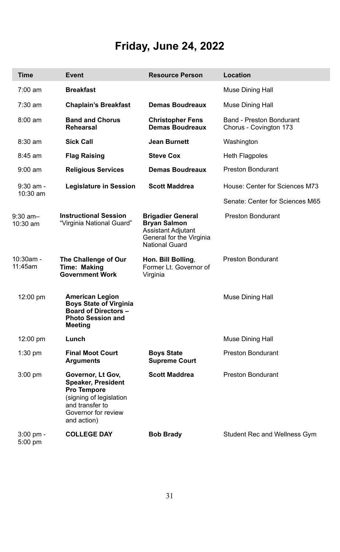# **Friday, June 24, 2022**

| <b>Time</b>             | Event                                                                                                                                      | <b>Resource Person</b>                                                                                              | Location                                           |
|-------------------------|--------------------------------------------------------------------------------------------------------------------------------------------|---------------------------------------------------------------------------------------------------------------------|----------------------------------------------------|
| $7:00 \text{ am}$       | <b>Breakfast</b>                                                                                                                           |                                                                                                                     | Muse Dining Hall                                   |
| $7:30$ am               | <b>Chaplain's Breakfast</b>                                                                                                                | Demas Boudreaux                                                                                                     | Muse Dining Hall                                   |
| $8:00 \text{ am}$       | <b>Band and Chorus</b><br>Rehearsal                                                                                                        | <b>Christopher Fens</b><br>Demas Boudreaux                                                                          | Band - Preston Bondurant<br>Chorus - Covington 173 |
| 8:30 am                 | <b>Sick Call</b>                                                                                                                           | Jean Burnett                                                                                                        | Washington                                         |
| $8:45$ am               | Flag Raising                                                                                                                               | <b>Steve Cox</b>                                                                                                    | Heth Flagpoles                                     |
| $9:00$ am               | <b>Religious Services</b>                                                                                                                  | Demas Boudreaux                                                                                                     | Preston Bondurant                                  |
| $9:30$ am -<br>10:30 am | Legislature in Session                                                                                                                     | <b>Scott Maddrea</b>                                                                                                | House: Center for Sciences M73                     |
|                         |                                                                                                                                            |                                                                                                                     | Senate: Center for Sciences M65                    |
| $9:30$ am-<br>10:30 am  | <b>Instructional Session</b><br>"Virginia National Guard"                                                                                  | <b>Brigadier General</b><br><b>Bryan Salmon</b><br>Assistant Adjutant<br>General for the Virginia<br>National Guard | <b>Preston Bondurant</b>                           |
| $10:30$ am -<br>11:45am | The Challenge of Our<br>Time: Making<br><b>Government Work</b>                                                                             | Hon. Bill Bolling,<br>Former Lt. Governor of<br>Virginia                                                            | <b>Preston Bondurant</b>                           |
| 12:00 pm                | American Legion<br><b>Boys State of Virginia</b><br><b>Board of Directors -</b><br><b>Photo Session and</b><br>Meeting                     |                                                                                                                     | Muse Dining Hall                                   |
| 12:00 pm                | Lunch                                                                                                                                      |                                                                                                                     | Muse Dining Hall                                   |
| $1:30$ pm               | <b>Final Moot Court</b><br>Arguments                                                                                                       | <b>Boys State</b><br><b>Supreme Court</b>                                                                           | <b>Preston Bondurant</b>                           |
| $3:00$ pm               | Governor, Lt Gov,<br>Speaker, President<br>Pro Tempore<br>(signing of legislation<br>and transfer to<br>Governor for review<br>and action) | <b>Scott Maddrea</b>                                                                                                | Preston Bondurant                                  |
| 3:00 pm -<br>5:00 pm    | <b>COLLEGE DAY</b>                                                                                                                         | <b>Bob Brady</b>                                                                                                    | Student Rec and Wellness Gym                       |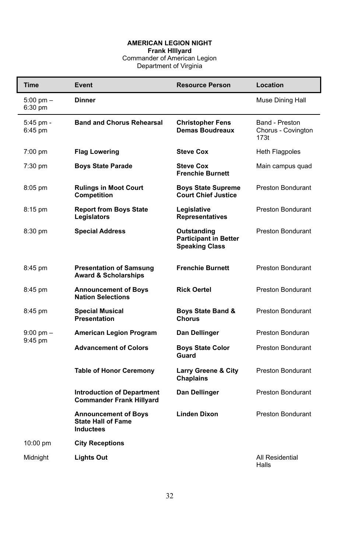#### **AMERICAN LEGION NIGHT**

**Frank HIllyard**<br>Commander of American Legion<br>Department of Virginia

| Time                           | Event                                                                 | <b>Resource Person</b>                                               | Location                                     |
|--------------------------------|-----------------------------------------------------------------------|----------------------------------------------------------------------|----------------------------------------------|
| $5:00$ pm $-$<br>6:30 pm       | Dinner                                                                |                                                                      | Muse Dining Hall                             |
| 5:45 pm -<br>6:45 pm           | <b>Band and Chorus Rehearsal</b>                                      | <b>Christopher Fens</b><br>Demas Boudreaux                           | Band - Preston<br>Chorus - Covington<br>173t |
| $7:00$ pm                      | <b>Flag Lowering</b>                                                  | <b>Steve Cox</b>                                                     | Heth Flagpoles                               |
| $7:30$ pm                      | <b>Boys State Parade</b>                                              | <b>Steve Cox</b><br><b>Frenchie Burnett</b>                          | Main campus quad                             |
| $8:05$ pm                      | <b>Rulings in Moot Court</b><br>Competition                           | <b>Boys State Supreme</b><br><b>Court Chief Justice</b>              | Preston Bondurant                            |
| $8:15$ pm                      | <b>Report from Boys State</b><br>Legislators                          | Legislative<br>Representatives                                       | <b>Preston Bondurant</b>                     |
| 8:30 pm                        | <b>Special Address</b>                                                | Outstanding<br><b>Participant in Better</b><br><b>Speaking Class</b> | Preston Bondurant                            |
| 8:45 pm                        | <b>Presentation of Samsung</b><br><b>Award &amp; Scholarships</b>     | <b>Frenchie Burnett</b>                                              | <b>Preston Bondurant</b>                     |
| 8:45 pm                        | <b>Announcement of Boys</b><br><b>Nation Selections</b>               | <b>Rick Oertel</b>                                                   | <b>Preston Bondurant</b>                     |
| 8:45 pm                        | <b>Special Musical</b><br>Presentation                                | Boys State Band &<br>Chorus                                          | Preston Bondurant                            |
| $9:00 \text{ pm} -$<br>9:45 pm | American Legion Program                                               | Dan Dellinger                                                        | Preston Bonduran                             |
|                                | <b>Advancement of Colors</b>                                          | <b>Boys State Color</b><br>Guard                                     | <b>Preston Bondurant</b>                     |
|                                | <b>Table of Honor Ceremony</b>                                        | <b>Larry Greene &amp; City</b><br>Chaplains                          | Preston Bondurant                            |
|                                | <b>Introduction of Department</b><br><b>Commander Frank Hillyard</b>  | Dan Dellinger                                                        | <b>Preston Bondurant</b>                     |
|                                | <b>Announcement of Boys</b><br><b>State Hall of Fame</b><br>Inductees | <b>Linden Dixon</b>                                                  | <b>Preston Bondurant</b>                     |
| 10:00 pm                       | <b>City Receptions</b>                                                |                                                                      |                                              |
| Midnight                       | <b>Lights Out</b>                                                     |                                                                      | All Residential<br>Halls                     |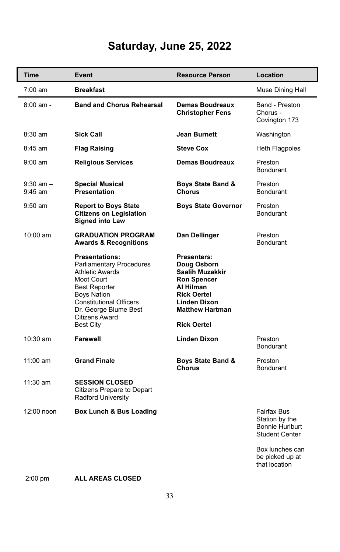## **Saturday, June 25, 2022**

| <b>Time</b>                | Event                                                                                                                                                                                                                                    | <b>Resource Person</b>                                                                                                                                                 | Location                                                           |
|----------------------------|------------------------------------------------------------------------------------------------------------------------------------------------------------------------------------------------------------------------------------------|------------------------------------------------------------------------------------------------------------------------------------------------------------------------|--------------------------------------------------------------------|
| $7:00 \text{ am}$          | <b>Breakfast</b>                                                                                                                                                                                                                         |                                                                                                                                                                        | Muse Dining Hall                                                   |
| $8:00$ am -                | <b>Band and Chorus Rehearsal</b>                                                                                                                                                                                                         | Demas Boudreaux<br><b>Christopher Fens</b>                                                                                                                             | Band - Preston<br>Chorus -<br>Covington 173                        |
| $8:30$ am                  | <b>Sick Call</b>                                                                                                                                                                                                                         | Jean Burnett                                                                                                                                                           | Washington                                                         |
| 8:45 am                    | <b>Flag Raising</b>                                                                                                                                                                                                                      | <b>Steve Cox</b>                                                                                                                                                       | Heth Flagpoles                                                     |
| $9:00 \text{ am}$          | <b>Religious Services</b>                                                                                                                                                                                                                | <b>Demas Boudreaux</b>                                                                                                                                                 | Preston<br><b>Bondurant</b>                                        |
| $9:30$ am $-$<br>$9:45$ am | <b>Special Musical</b><br>Presentation                                                                                                                                                                                                   | Boys State Band &<br>Chorus                                                                                                                                            | Preston<br><b>Bondurant</b>                                        |
| $9:50$ am                  | <b>Report to Boys State</b><br><b>Citizens on Legislation</b><br>Signed into Law                                                                                                                                                         | <b>Boys State Governor</b>                                                                                                                                             | Preston<br><b>Bondurant</b>                                        |
| $10:00$ am                 | <b>GRADUATION PROGRAM</b><br><b>Awards &amp; Recognitions</b>                                                                                                                                                                            | Dan Dellinger                                                                                                                                                          | Preston<br><b>Bondurant</b>                                        |
|                            | <b>Presentations:</b><br>Parliamentary Procedures<br><b>Athletic Awards</b><br>Moot Court<br><b>Best Reporter</b><br><b>Boys Nation</b><br><b>Constitutional Officers</b><br>Dr. George Blume Best<br>Citizens Award<br><b>Best City</b> | Presenters:<br>Doug Osborn<br>Saalih Muzakkir<br><b>Ron Spencer</b><br>Al Hilman<br><b>Rick Oertel</b><br>Linden Dixon<br><b>Matthew Hartman</b><br><b>Rick Oertel</b> |                                                                    |
| 10:30 am                   | Farewell                                                                                                                                                                                                                                 | <b>Linden Dixon</b>                                                                                                                                                    | Preston<br><b>Bondurant</b>                                        |
| 11:00 am                   | <b>Grand Finale</b>                                                                                                                                                                                                                      | Boys State Band &<br>Chorus                                                                                                                                            | Preston<br><b>Bondurant</b>                                        |
| 11:30 am                   | <b>SESSION CLOSED</b><br>Citizens Prepare to Depart<br>Radford University                                                                                                                                                                |                                                                                                                                                                        |                                                                    |
| 12:00 noon                 | Box Lunch & Bus Loading                                                                                                                                                                                                                  |                                                                                                                                                                        | Fairfax Bus<br>Station by the<br>Bonnie Hurlburt<br>Student Center |
|                            |                                                                                                                                                                                                                                          |                                                                                                                                                                        | Box lunches can<br>be picked up at<br>that location                |

2:00 pm **ALL AREAS CLOSED**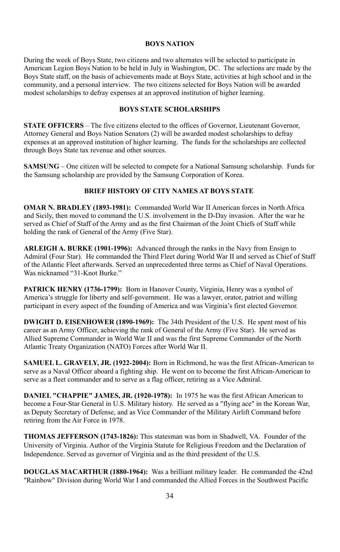#### **BOYS NATION**

During the week of Boys State, two citizens and two alternates will be selected to participate in American Legion Boys Nation to be held in July in Washington, DC. The selections are made by the Boys State staff, on the basis of achievements made at Boys State, activities at high school and in the community, and a personal interview. The two citizens selected for Boys Nation will be awarded modest scholarships to defray expenses at an approved institution of higher learning.

#### **BOYS STATE SCHOLARSHIPS**

**STATE OFFICERS** – The five citizens elected to the offices of Governor, Lieutenant Governor, Attorney General and Boys Nation Senators (2) will be awarded modest scholarships to defray expenses at an approved institution of higher learning. The funds for the scholarships are collected through Boys State tax revenue and other sources.

**SAMSUNG** – One citizen will be selected to compete for a National Samsung scholarship. Funds for the Samsung scholarship are provided by the Samsung Corporation of Korea.

#### **BRIEF HISTORY OF CITY NAMES AT BOYS STATE**

**OMAR N. BRADLEY (1893-1981):** Commanded World War II American forces in North Africa and Sicily, then moved to command the U.S. involvement in the D-Day invasion. After the war he served as Chief of Staff of the Army and as the first Chairman of the Joint Chiefs of Staff while holding the rank of General of the Army (Five Star).

**ARLEIGH A. BURKE (1901-1996):** Advanced through the ranks in the Navy from Ensign to Admiral (Four Star). He commanded the Third Fleet during World War II and served as Chief of Staff of the Atlantic Fleet afterwards. Served an unprecedented three terms as Chief of Naval Operations. Was nicknamed "31-Knot Burke."

**PATRICK HENRY (1736-1799):** Born in Hanover County, Virginia, Henry was a symbol of America's struggle for liberty and self-government. He was a lawyer, orator, patriot and willing participant in every aspect of the founding of America and was Virginia's first elected Governor.

**DWIGHT D. EISENHOWER (1890-1969):** The 34th President of the U.S. He spent most of his career as an Army Officer, achieving the rank of General of the Army (Five Star). He served as Allied Supreme Commander in World War II and was the first Supreme Commander of the North Atlantic Treaty Organization (NATO) Forces after World War II.

**SAMUEL L. GRAVELY, JR. (1922-2004):** Born in Richmond, he was the first African-American to serve as a Naval Officer aboard a fighting ship. He went on to become the first African-American to serve as a fleet commander and to serve as a flag officer, retiring as a Vice Admiral.

**DANIEL "CHAPPIE" JAMES, JR. (1920-1978):** In 1975 he was the first African American to become a Four-Star General in U.S. Military history. He served as a "flying ace" in the Korean War, as Deputy Secretary of Defense, and as Vice Commander of the Military Airlift Command before retiring from the Air Force in 1978.

**THOMAS JEFFERSON (1743-1826):** This statesman was born in Shadwell, VA. Founder of the University of Virginia. Author of the Virginia Statute for Religious Freedom and the Declaration of Independence. Served as governor of Virginia and as the third president of the U.S.

**DOUGLAS MACARTHUR (1880-1964):** Was a brilliant military leader. He commanded the 42nd "Rainbow" Division during World War I and commanded the Allied Forces in the Southwest Pacific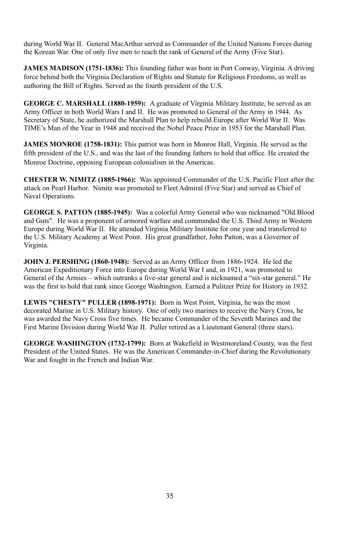during World War II. General MacArthur served as Commander of the United Nations Forces during the Korean War. One of only five men to reach the rank of General of the Army (Five Star).

**JAMES MADISON (1751-1836):** This founding father was born in Port Conway, Virginia. A driving force behind both the Virginia Declaration of Rights and Statute for Religious Freedoms, as well as authoring the Bill of Rights. Served as the fourth president of the U.S.

**GEORGE C. MARSHALL (1880-1959):** A graduate of Virginia Military Institute, he served as an Army Officer in both World Wars I and II. He was promoted to General of the Army in 1944. As Secretary of State, he authorized the Marshall Plan to help rebuild Europe after World War II. Was TIME's Man of the Year in 1948 and received the Nobel Peace Prize in 1953 for the Marshall Plan.

**JAMES MONROE (1758-1831):** This patriot was born in Monroe Hall, Virginia. He served as the fifth president of the U.S., and was the last of the founding fathers to hold that office. He created the Monroe Doctrine, opposing European colonialism in the Americas.

**CHESTER W. NIMITZ (1885-1966):** Was appointed Commander of the U.S. Pacific Fleet after the attack on Pearl Harbor. Nimitz was promoted to Fleet Admiral (Five Star) and served as Chief of Naval Operations.

**GEORGE S. PATTON (1885-1945):** Was a colorful Army General who was nicknamed "Old Blood and Guts". He was a proponent of armored warfare and commanded the U.S. Third Army in Western Europe during World War II. He attended Virginia Military Institute for one year and transferred to the U.S. Military Academy at West Point. His great grandfather, John Patton, was a Governor of Virginia.

**JOHN J. PERSHING (1860-1948):** Served as an Army Officer from 1886-1924. He led the American Expeditionary Force into Europe during World War I and, in 1921, was promoted to General of the Armies – which outranks a five-star general and is nicknamed a "six-star general." He was the first to hold that rank since George Washington. Earned a Pulitzer Prize for History in 1932.

**LEWIS "CHESTY" PULLER (1898-1971):** Born in West Point, Virginia, he was the most decorated Marine in U.S. Military history. One of only two marines to receive the Navy Cross, he was awarded the Navy Cross five times. He became Commander of the Seventh Marines and the First Marine Division during World War II. Puller retired as a Lieutenant General (three stars).

**GEORGE WASHINGTON (1732-1799):** Born at Wakefield in Westmoreland County, was the first President of the United States. He was the American Commander-in-Chief during the Revolutionary War and fought in the French and Indian War.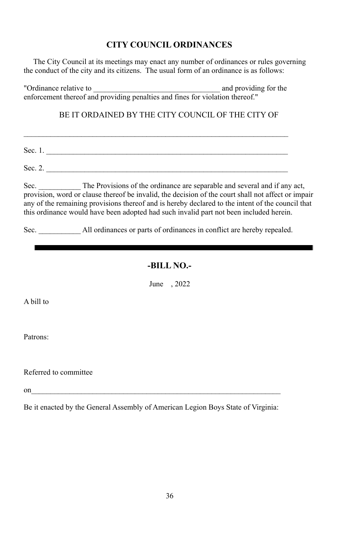## **CITY COUNCIL ORDINANCES**

The City Council at its meetings may enact any number of ordinances or rules governing the conduct of the city and its citizens. The usual form of an ordinance is as follows:

"Ordinance relative to  $\blacksquare$ enforcement thereof and providing penalties and fines for violation thereof."

BE IT ORDAINED BY THE CITY COUNCIL OF THE CITY OF

| Sec. 1. |  |  |  |
|---------|--|--|--|
| Sec. 2. |  |  |  |

 $\mathcal{L}_\text{max} = \frac{1}{2} \sum_{i=1}^n \mathcal{L}_\text{max}(\mathbf{x}_i - \mathbf{y}_i)$ 

Sec. The Provisions of the ordinance are separable and several and if any act, provision, word or clause thereof be invalid, the decision of the court shall not affect or impair any of the remaining provisions thereof and is hereby declared to the intent of the council that this ordinance would have been adopted had such invalid part not been included herein.

Sec. All ordinances or parts of ordinances in conflict are hereby repealed.

## **-BILL NO.-**

June , 2022

A bill to

Patrons:

Referred to committee

on

Be it enacted by the General Assembly of American Legion Boys State of Virginia: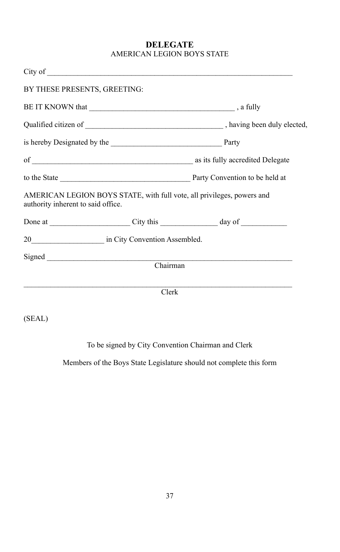## **DELEGATE** AMERICAN LEGION BOYS STATE

| BY THESE PRESENTS, GREETING:       |          |                                                                        |
|------------------------------------|----------|------------------------------------------------------------------------|
|                                    |          |                                                                        |
|                                    |          |                                                                        |
|                                    |          |                                                                        |
|                                    |          |                                                                        |
|                                    |          |                                                                        |
| authority inherent to said office. |          | AMERICAN LEGION BOYS STATE, with full vote, all privileges, powers and |
|                                    |          |                                                                        |
| 20 in City Convention Assembled.   |          |                                                                        |
|                                    | Chairman |                                                                        |
|                                    | Clerk    |                                                                        |
| (SEAL)                             |          |                                                                        |

To be signed by City Convention Chairman and Clerk

Members of the Boys State Legislature should not complete this form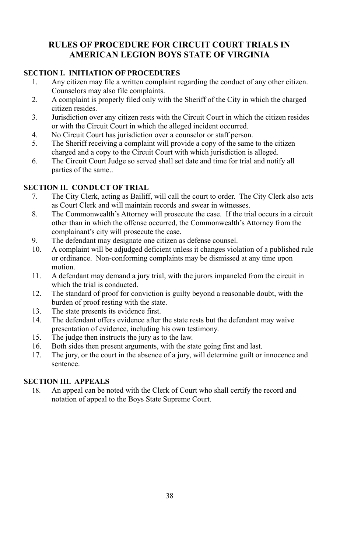## **RULES OF PROCEDURE FOR CIRCUIT COURT TRIALS IN AMERICAN LEGION BOYS STATE OF VIRGINIA**

#### **SECTION I. INITIATION OF PROCEDURES**

- 1. Any citizen may file a written complaint regarding the conduct of any other citizen. Counselors may also file complaints.
- 2. A complaint is properly filed only with the Sheriff of the City in which the charged citizen resides.
- 3. Jurisdiction over any citizen rests with the Circuit Court in which the citizen resides or with the Circuit Court in which the alleged incident occurred.
- 4. No Circuit Court has jurisdiction over a counselor or staff person.
- 5. The Sheriff receiving a complaint will provide a copy of the same to the citizen charged and a copy to the Circuit Court with which jurisdiction is alleged.
- 6. The Circuit Court Judge so served shall set date and time for trial and notify all parties of the same..

#### **SECTION II. CONDUCT OF TRIAL**

- 7. The City Clerk, acting as Bailiff, will call the court to order. The City Clerk also acts as Court Clerk and will maintain records and swear in witnesses.
- 8. The Commonwealth's Attorney will prosecute the case. If the trial occurs in a circuit other than in which the offense occurred, the Commonwealth's Attorney from the complainant's city will prosecute the case.
- 9. The defendant may designate one citizen as defense counsel.
- 10. A complaint will be adjudged deficient unless it changes violation of a published rule or ordinance. Non-conforming complaints may be dismissed at any time upon motion.
- 11. A defendant may demand a jury trial, with the jurors impaneled from the circuit in which the trial is conducted.
- 12. The standard of proof for conviction is guilty beyond a reasonable doubt, with the burden of proof resting with the state.
- 13. The state presents its evidence first.<br>14. The defendant offers evidence after
- The defendant offers evidence after the state rests but the defendant may waive presentation of evidence, including his own testimony.
- 15. The judge then instructs the jury as to the law.
- 16. Both sides then present arguments, with the state going first and last.<br>17. The jury or the court in the absence of a jury will determine guilt or
- The jury, or the court in the absence of a jury, will determine guilt or innocence and sentence.

#### **SECTION III. APPEALS**

18. An appeal can be noted with the Clerk of Court who shall certify the record and notation of appeal to the Boys State Supreme Court.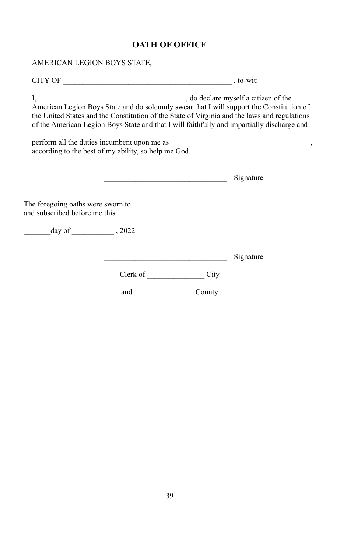## **OATH OF OFFICE**

AMERICAN LEGION BOYS STATE,

CITY OF \_\_\_\_\_\_\_\_\_\_\_\_\_\_\_\_\_\_\_\_\_\_\_\_\_\_\_\_\_\_\_\_\_\_\_\_\_\_\_\_\_\_\_\_ , to-wit:

I, and declare myself a citizen of the state of the state of the state of the state of the state of the state of the state of the state of the state of the state of the state of the state of the state of the state of the s American Legion Boys State and do solemnly swear that I will support the Constitution of the United States and the Constitution of the State of Virginia and the laws and regulations of the American Legion Boys State and that I will faithfully and impartially discharge and

perform all the duties incumbent upon me as  $\blacksquare$ according to the best of my ability, so help me God.

 $\n *Sionature*\n$ 

|                                                                    |          |        | $\mathcal{L}$ |
|--------------------------------------------------------------------|----------|--------|---------------|
| The foregoing oaths were sworn to<br>and subscribed before me this |          |        |               |
| $day of$ , 2022                                                    |          |        |               |
|                                                                    |          |        | Signature     |
|                                                                    | Clerk of | City   |               |
|                                                                    | and      | County |               |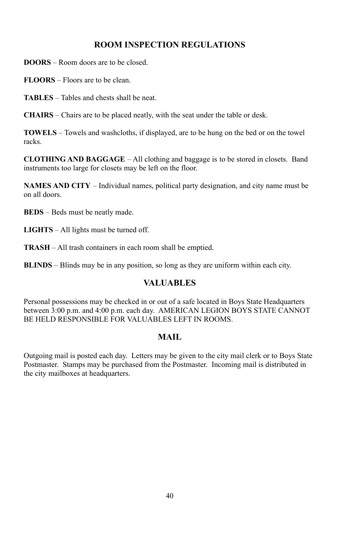## **ROOM INSPECTION REGULATIONS**

**DOORS** – Room doors are to be closed.

**FLOORS** – Floors are to be clean.

**TABLES** – Tables and chests shall be neat.

**CHAIRS** – Chairs are to be placed neatly, with the seat under the table or desk.

**TOWELS** – Towels and washcloths, if displayed, are to be hung on the bed or on the towel racks.

**CLOTHING AND BAGGAGE** – All clothing and baggage is to be stored in closets. Band instruments too large for closets may be left on the floor.

**NAMES AND CITY** – Individual names, political party designation, and city name must be on all doors.

**BEDS** – Beds must be neatly made.

**LIGHTS** – All lights must be turned off.

**TRASH** – All trash containers in each room shall be emptied.

**BLINDS** – Blinds may be in any position, so long as they are uniform within each city.

## **VALUABLES**

Personal possessions may be checked in or out of a safe located in Boys State Headquarters between 3:00 p.m. and 4:00 p.m. each day. AMERICAN LEGION BOYS STATE CANNOT BE HELD RESPONSIBLE FOR VALUABLES LEFT IN ROOMS.

#### **MAIL**

Outgoing mail is posted each day. Letters may be given to the city mail clerk or to Boys State Postmaster. Stamps may be purchased from the Postmaster. Incoming mail is distributed in the city mailboxes at headquarters.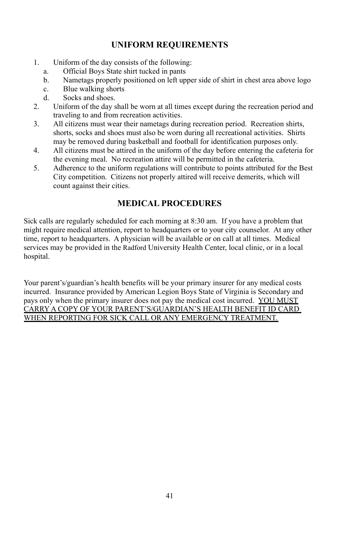## **UNIFORM REQUIREMENTS**

- 1. Uniform of the day consists of the following:
	- a. Official Boys State shirt tucked in pants
	- b. Nametags properly positioned on left upper side of shirt in chest area above logo
	- c. Blue walking shorts
	- d. Socks and shoes.
- 2. Uniform of the day shall be worn at all times except during the recreation period and traveling to and from recreation activities.
- 3. All citizens must wear their nametags during recreation period. Recreation shirts, shorts, socks and shoes must also be worn during all recreational activities. Shirts may be removed during basketball and football for identification purposes only.
- 4. All citizens must be attired in the uniform of the day before entering the cafeteria for the evening meal. No recreation attire will be permitted in the cafeteria.
- 5. Adherence to the uniform regulations will contribute to points attributed for the Best City competition. Citizens not properly attired will receive demerits, which will count against their cities.

## **MEDICAL PROCEDURES**

Sick calls are regularly scheduled for each morning at 8:30 am. If you have a problem that might require medical attention, report to headquarters or to your city counselor. At any other time, report to headquarters. A physician will be available or on call at all times. Medical services may be provided in the Radford University Health Center, local clinic, or in a local hospital.

Your parent's/guardian's health benefits will be your primary insurer for any medical costs incurred. Insurance provided by American Legion Boys State of Virginia is Secondary and pays only when the primary insurer does not pay the medical cost incurred. YOU MUST CARRY A COPY OF YOUR PARENT'S/GUARDIAN'S HEALTH BENEFIT ID CARD WHEN REPORTING FOR SICK CALL OR ANY EMERGENCY TREATMENT.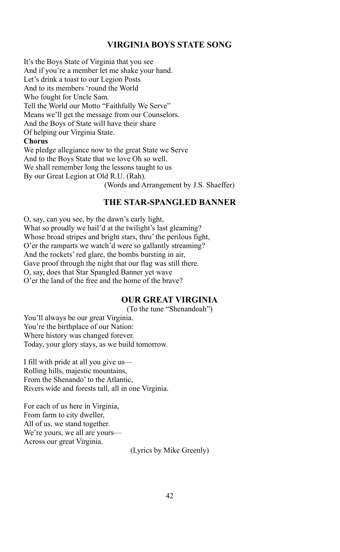#### **VIRGINIA BOYS STATE SONG**

It's the Boys State of Virginia that you see And if you're a member let me shake your hand. Let's drink a toast to our Legion Posts And to its members 'round the World Who fought for Uncle Sam. Tell the World our Motto "Faithfully We Serve" Means we'll get the message from our Counselors. And the Boys of State will have their share Of helping our Virginia State. **Chorus** We pledge allegiance now to the great State we Serve

And to the Boys State that we love Oh so well. We shall remember long the lessons taught to us By our Great Legion at Old R.U. (Rah). (Words and Arrangement by J.S. Shaeffer)

## **THE STAR-SPANGLED BANNER**

O, say, can you see, by the dawn's early light, What so proudly we hail'd at the twilight's last gleaming? Whose broad stripes and bright stars, thru' the perilous fight, O'er the ramparts we watch'd were so gallantly streaming? And the rockets' red glare, the bombs bursting in air, Gave proof through the night that our flag was still there. O, say, does that Star Spangled Banner yet wave O'er the land of the free and the home of the brave?

#### **OUR GREAT VIRGINIA**

(To the tune "Shenandoah")

You'll always be our great Virginia. You're the birthplace of our Nation: Where history was changed forever. Today, your glory stays, as we build tomorrow.

I fill with pride at all you give us— Rolling hills, majestic mountains, From the Shenando' to the Atlantic, Rivers wide and forests tall, all in one Virginia.

For each of us here in Virginia, From farm to city dweller, All of us, we stand together. We're yours, we all are yours— Across our great Virginia.

(Lyrics by Mike Greenly)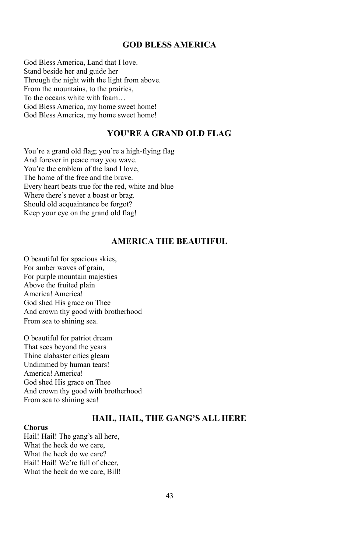## **GOD BLESS AMERICA**

God Bless America, Land that I love. Stand beside her and guide her Through the night with the light from above. From the mountains, to the prairies, To the oceans white with foam… God Bless America, my home sweet home! God Bless America, my home sweet home!

## **YOU'RE A GRAND OLD FLAG**

You're a grand old flag; you're a high-flying flag And forever in peace may you wave. You're the emblem of the land I love, The home of the free and the brave. Every heart beats true for the red, white and blue Where there's never a boast or brag. Should old acquaintance be forgot? Keep your eye on the grand old flag!

## **AMERICA THE BEAUTIFUL**

O beautiful for spacious skies, For amber waves of grain, For purple mountain majesties Above the fruited plain America! America! God shed His grace on Thee And crown thy good with brotherhood From sea to shining sea.

O beautiful for patriot dream That sees beyond the years Thine alabaster cities gleam Undimmed by human tears! America! America! God shed His grace on Thee And crown thy good with brotherhood From sea to shining sea!

#### **HAIL, HAIL, THE GANG'S ALL HERE**

#### **Chorus**

Hail! Hail! The gang's all here, What the heck do we care, What the heck do we care? Hail! Hail! We're full of cheer, What the heck do we care, Bill!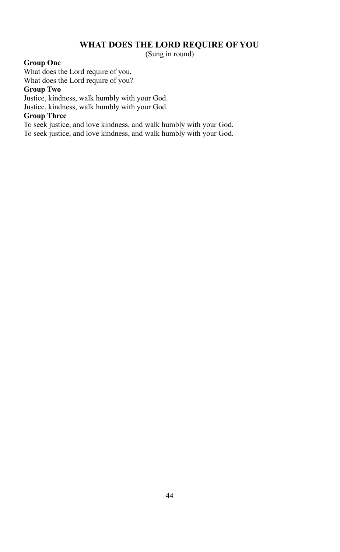## **WHAT DOES THE LORD REQUIRE OF YOU**

(Sung in round)

#### **Group One**

What does the Lord require of you, What does the Lord require of you?

#### **Group Two**

Justice, kindness, walk humbly with your God. Justice, kindness, walk humbly with your God.

## **Group Three**

To seek justice, and love kindness, and walk humbly with your God. To seek justice, and love kindness, and walk humbly with your God.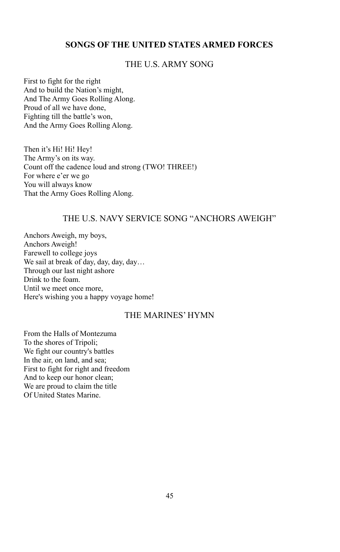## **SONGS OF THE UNITED STATES ARMED FORCES**

## THE U.S. ARMY SONG

First to fight for the right And to build the Nation's might, And The Army Goes Rolling Along. Proud of all we have done, Fighting till the battle's won, And the Army Goes Rolling Along.

Then it's Hi! Hi! Hey! The Army's on its way. Count off the cadence loud and strong (TWO! THREE!) For where e'er we go You will always know That the Army Goes Rolling Along.

## THE U.S. NAVY SERVICE SONG "ANCHORS AWEIGH"

Anchors Aweigh, my boys, Anchors Aweigh! Farewell to college joys We sail at break of day, day, day, day… Through our last night ashore Drink to the foam. Until we meet once more, Here's wishing you a happy voyage home!

## THE MARINES' HYMN

From the Halls of Montezuma To the shores of Tripoli; We fight our country's battles In the air, on land, and sea; First to fight for right and freedom And to keep our honor clean; We are proud to claim the title Of United States Marine.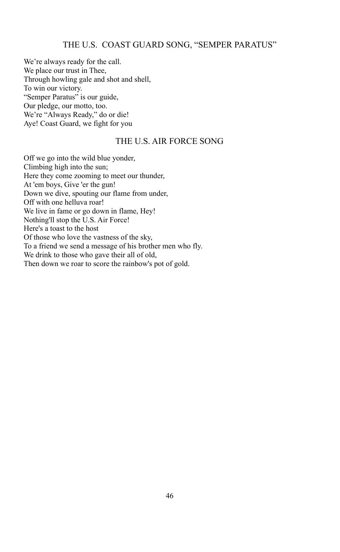## THE U.S. COAST GUARD SONG, "SEMPER PARATUS"

We're always ready for the call. We place our trust in Thee, Through howling gale and shot and shell, To win our victory. "Semper Paratus" is our guide, Our pledge, our motto, too. We're "Always Ready," do or die! Aye! Coast Guard, we fight for you

## THE U.S. AIR FORCE SONG

Off we go into the wild blue yonder, Climbing high into the sun; Here they come zooming to meet our thunder, At 'em boys, Give 'er the gun! Down we dive, spouting our flame from under, Off with one helluva roar! We live in fame or go down in flame, Hey! Nothing'll stop the U.S. Air Force! Here's a toast to the host Of those who love the vastness of the sky, To a friend we send a message of his brother men who fly. We drink to those who gave their all of old, Then down we roar to score the rainbow's pot of gold.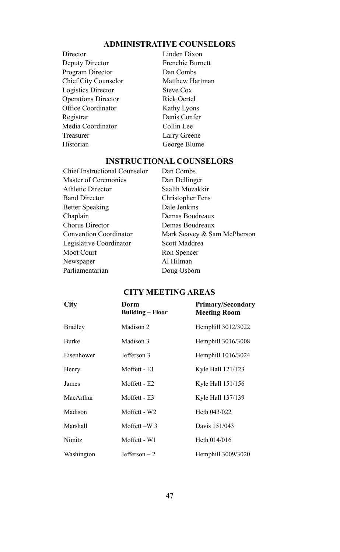#### **ADMINISTRATIVE COUNSELORS**

- Director Linden Dixon Deputy Director Frenchie Burnett Program Director Dan Combs Chief City Counselor Matthew Hartman Logistics Director Steve Cox Operations Director Rick Oertel Office Coordinator Kathy Lyons Registrar Denis Confer Media Coordinator Collin Lee Treasurer Larry Greene Historian George Blume
	-

#### **INSTRUCTIONAL COUNSELORS**

Chief Instructional Counselor Dan Combs Master of Ceremonies Dan Dellinger Athletic Director Saalih Muzakkir Band Director Christopher Fens Better Speaking Dale Jenkins Chaplain Demas Boudreaux Chorus Director Demas Boudreaux Convention Coordinator Mark Seavey & Sam McPherson Legislative Coordinator Scott Maddrea Moot Court Ron Spencer Newspaper Al Hilman Parliamentarian Doug Osborn

#### **CITY MEETING AREAS**

| City           | Dorm<br><b>Building - Floor</b> | Primary/Secondary<br><b>Meeting Room</b> |
|----------------|---------------------------------|------------------------------------------|
| <b>Bradley</b> | Madison 2                       | Hemphill 3012/3022                       |
| Burke          | Madison 3                       | Hemphill 3016/3008                       |
| Eisenhower     | Jefferson 3                     | Hemphill 1016/3024                       |
| Henry          | Moffett - E1                    | Kyle Hall 121/123                        |
| James          | Moffett - E2                    | Kyle Hall 151/156                        |
| MacArthur      | Moffett - E3                    | Kyle Hall 137/139                        |
| Madison        | Moffett - W2                    | Heth 043/022                             |
| Marshall       | Moffett-W <sub>3</sub>          | Davis 151/043                            |
| Nimitz         | Moffett - W1                    | Heth 014/016                             |
| Washington     | $Jefferson - 2$                 | Hemphill 3009/3020                       |